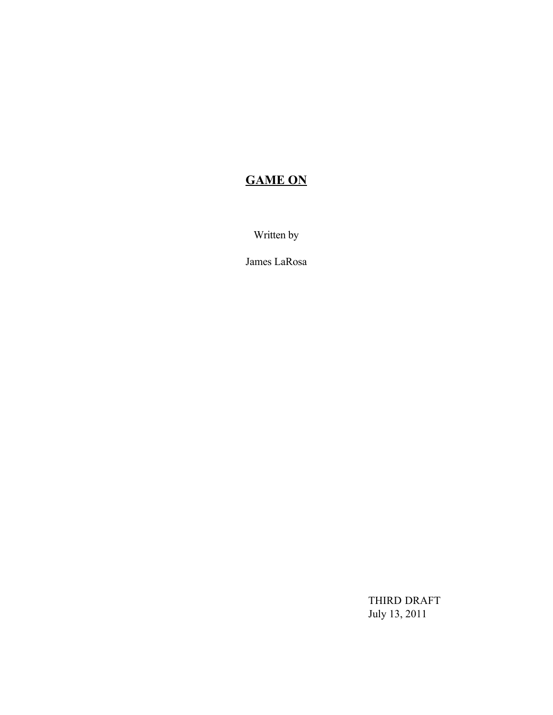# **GAME ON**

Written by

James LaRosa

THIRD DRAFT July 13, 2011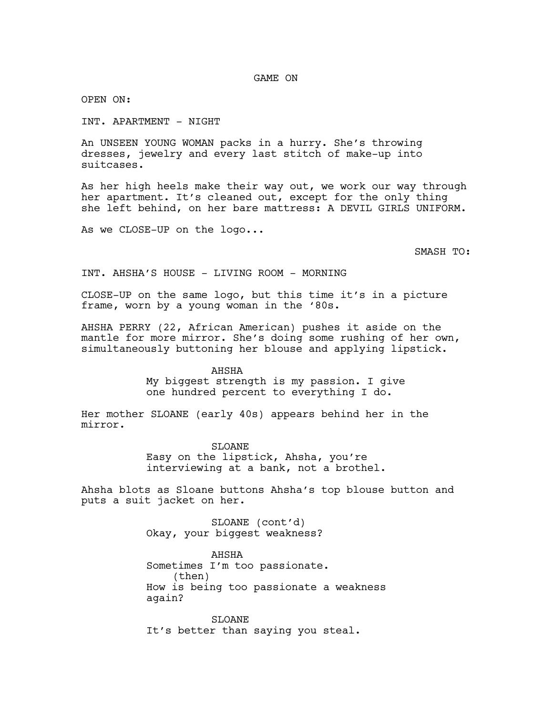GAME ON

OPEN ON:

INT. APARTMENT - NIGHT

An UNSEEN YOUNG WOMAN packs in a hurry. She's throwing dresses, jewelry and every last stitch of make-up into suitcases.

As her high heels make their way out, we work our way through her apartment. It's cleaned out, except for the only thing she left behind, on her bare mattress: A DEVIL GIRLS UNIFORM.

As we CLOSE-UP on the logo...

SMASH TO:

INT. AHSHA'S HOUSE - LIVING ROOM - MORNING

CLOSE-UP on the same logo, but this time it's in a picture frame, worn by a young woman in the '80s.

AHSHA PERRY (22, African American) pushes it aside on the mantle for more mirror. She's doing some rushing of her own, simultaneously buttoning her blouse and applying lipstick.

> AHSHA My biggest strength is my passion. I give one hundred percent to everything I do.

Her mother SLOANE (early 40s) appears behind her in the mirror.

> **SLOANE** Easy on the lipstick, Ahsha, you're interviewing at a bank, not a brothel.

Ahsha blots as Sloane buttons Ahsha's top blouse button and puts a suit jacket on her.

> SLOANE (cont'd) Okay, your biggest weakness?

AHSHA Sometimes I'm too passionate. (then) How is being too passionate a weakness again?

SLOANE It's better than saying you steal.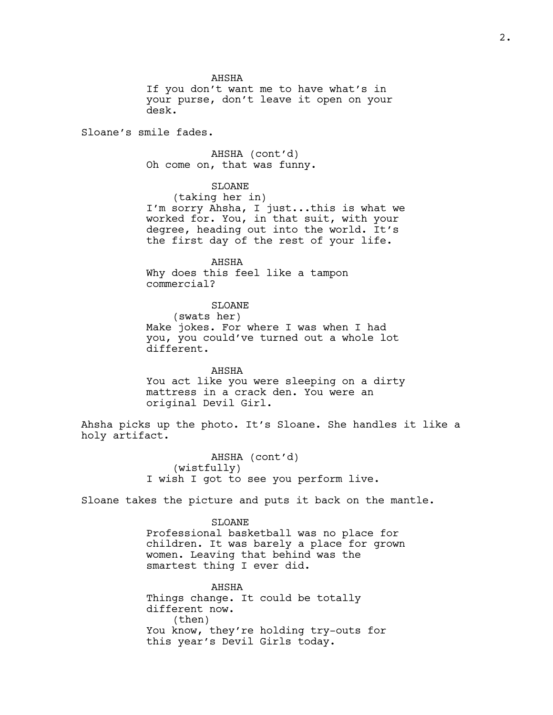AHSHA

If you don't want me to have what's in your purse, don't leave it open on your desk.

Sloane's smile fades.

AHSHA (cont'd) Oh come on, that was funny.

# SLOANE

(taking her in) I'm sorry Ahsha, I just...this is what we worked for. You, in that suit, with your degree, heading out into the world. It's the first day of the rest of your life.

AHSHA Why does this feel like a tampon commercial?

# SLOANE

(swats her) Make jokes. For where I was when I had you, you could've turned out a whole lot different.

AHSHA You act like you were sleeping on a dirty mattress in a crack den. You were an original Devil Girl.

Ahsha picks up the photo. It's Sloane. She handles it like a holy artifact.

> AHSHA (cont'd) (wistfully) I wish I got to see you perform live.

Sloane takes the picture and puts it back on the mantle.

#### SLOANE

Professional basketball was no place for children. It was barely a place for grown women. Leaving that behind was the smartest thing I ever did.

AHSHA Things change. It could be totally different now. (then) You know, they're holding try-outs for this year's Devil Girls today.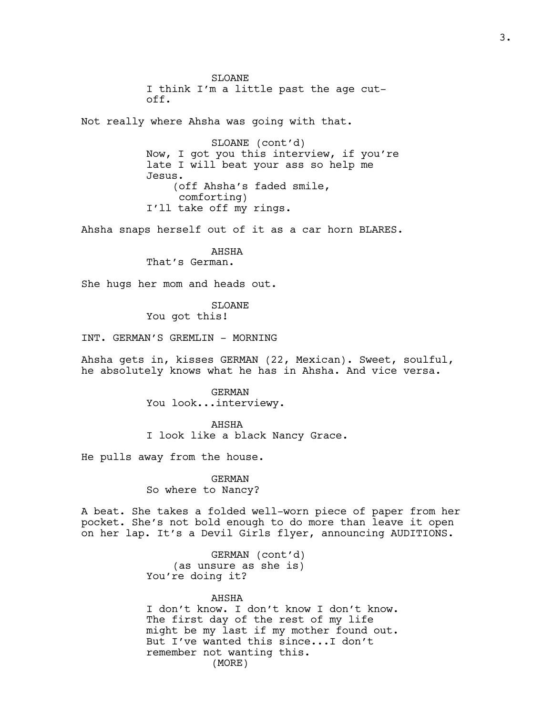SLOANE I think I'm a little past the age cutoff.

Not really where Ahsha was going with that.

SLOANE (cont'd) Now, I got you this interview, if you're late I will beat your ass so help me Jesus. (off Ahsha's faded smile, comforting) I'll take off my rings.

Ahsha snaps herself out of it as a car horn BLARES.

AHSHA That's German.

She hugs her mom and heads out.

SLOANE You got this!

INT. GERMAN'S GREMLIN - MORNING

Ahsha gets in, kisses GERMAN (22, Mexican). Sweet, soulful, he absolutely knows what he has in Ahsha. And vice versa.

> GERMAN You look...interviewy.

AHSHA I look like a black Nancy Grace.

He pulls away from the house.

GERMAN So where to Nancy?

A beat. She takes a folded well-worn piece of paper from her pocket. She's not bold enough to do more than leave it open on her lap. It's a Devil Girls flyer, announcing AUDITIONS.

> GERMAN (cont'd) (as unsure as she is) You're doing it?

#### AHSHA

I don't know. I don't know I don't know. The first day of the rest of my life might be my last if my mother found out. But I've wanted this since...I don't remember not wanting this. (MORE)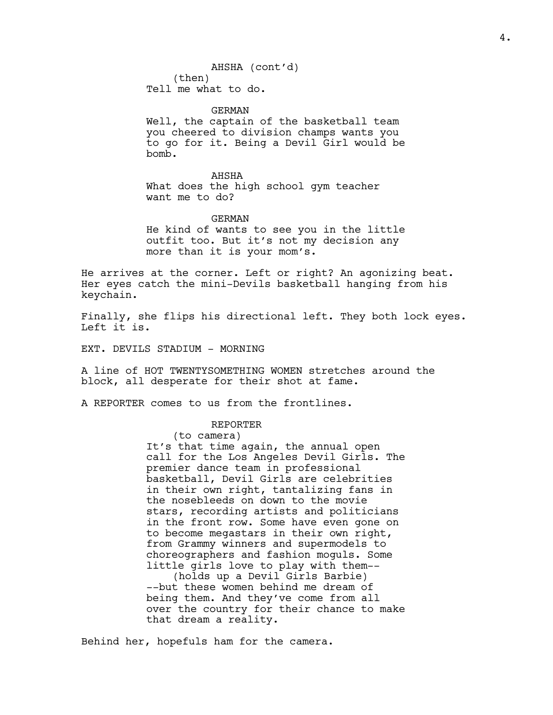GERMAN Well, the captain of the basketball team you cheered to division champs wants you to go for it. Being a Devil Girl would be bomb.

AHSHA What does the high school gym teacher want me to do?

GERMAN

He kind of wants to see you in the little outfit too. But it's not my decision any more than it is your mom's.

He arrives at the corner. Left or right? An agonizing beat. Her eyes catch the mini-Devils basketball hanging from his keychain.

Finally, she flips his directional left. They both lock eyes. Left it is.

EXT. DEVILS STADIUM - MORNING

A line of HOT TWENTYSOMETHING WOMEN stretches around the block, all desperate for their shot at fame.

A REPORTER comes to us from the frontlines.

# REPORTER

(to camera)

It's that time again, the annual open call for the Los Angeles Devil Girls. The premier dance team in professional basketball, Devil Girls are celebrities in their own right, tantalizing fans in the nosebleeds on down to the movie stars, recording artists and politicians in the front row. Some have even gone on to become megastars in their own right, from Grammy winners and supermodels to choreographers and fashion moguls. Some little girls love to play with them-- (holds up a Devil Girls Barbie)

--but these women behind me dream of being them. And they've come from all over the country for their chance to make that dream a reality.

Behind her, hopefuls ham for the camera.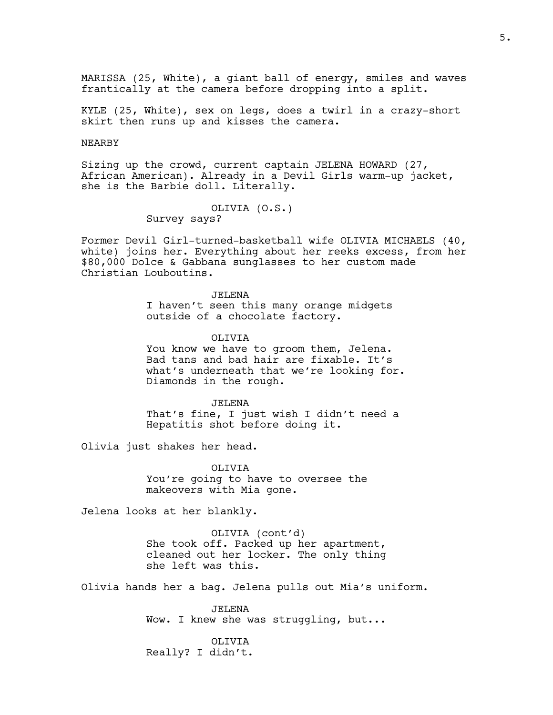MARISSA (25, White), a giant ball of energy, smiles and waves frantically at the camera before dropping into a split.

KYLE (25, White), sex on legs, does a twirl in a crazy-short skirt then runs up and kisses the camera.

#### NEARBY

Sizing up the crowd, current captain JELENA HOWARD (27, African American). Already in a Devil Girls warm-up jacket, she is the Barbie doll. Literally.

> OLIVIA (O.S.) Survey says?

Former Devil Girl-turned-basketball wife OLIVIA MICHAELS (40, white) joins her. Everything about her reeks excess, from her \$80,000 Dolce & Gabbana sunglasses to her custom made Christian Louboutins.

JELENA

I haven't seen this many orange midgets outside of a chocolate factory.

OLIVIA

You know we have to groom them, Jelena. Bad tans and bad hair are fixable. It's what's underneath that we're looking for. Diamonds in the rough.

JELENA

That's fine, I just wish I didn't need a Hepatitis shot before doing it.

Olivia just shakes her head.

OLIVIA You're going to have to oversee the makeovers with Mia gone.

Jelena looks at her blankly.

OLIVIA (cont'd) She took off. Packed up her apartment, cleaned out her locker. The only thing she left was this.

Olivia hands her a bag. Jelena pulls out Mia's uniform.

JELENA Wow. I knew she was struggling, but...

OLIVIA Really? I didn't.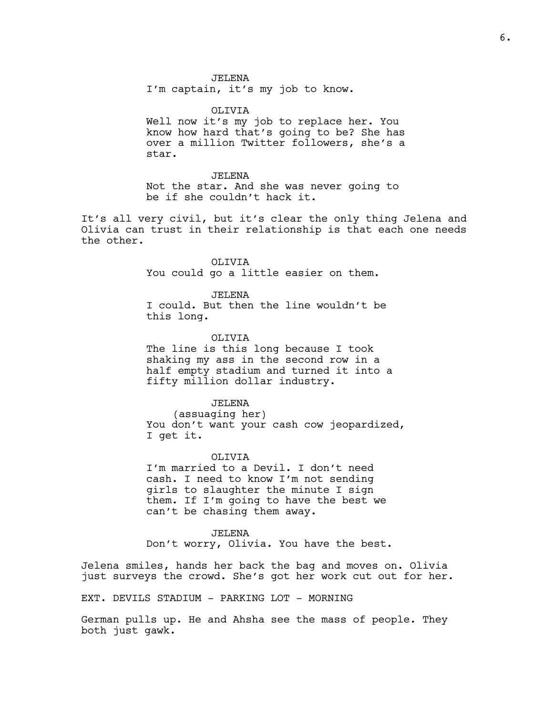JELENA I'm captain, it's my job to know.

OLIVIA Well now it's my job to replace her. You know how hard that's going to be? She has over a million Twitter followers, she's a star.

JELENA Not the star. And she was never going to be if she couldn't hack it.

It's all very civil, but it's clear the only thing Jelena and Olivia can trust in their relationship is that each one needs the other.

> OLIVIA You could go a little easier on them.

JELENA I could. But then the line wouldn't be this long.

OLIVIA The line is this long because I took shaking my ass in the second row in a half empty stadium and turned it into a fifty million dollar industry.

JELENA (assuaging her) You don't want your cash cow jeopardized, I get it.

OLIVIA I'm married to a Devil. I don't need cash. I need to know I'm not sending girls to slaughter the minute I sign them. If I'm going to have the best we can't be chasing them away.

JELENA Don't worry, Olivia. You have the best.

Jelena smiles, hands her back the bag and moves on. Olivia just surveys the crowd. She's got her work cut out for her.

EXT. DEVILS STADIUM - PARKING LOT - MORNING

German pulls up. He and Ahsha see the mass of people. They both just gawk.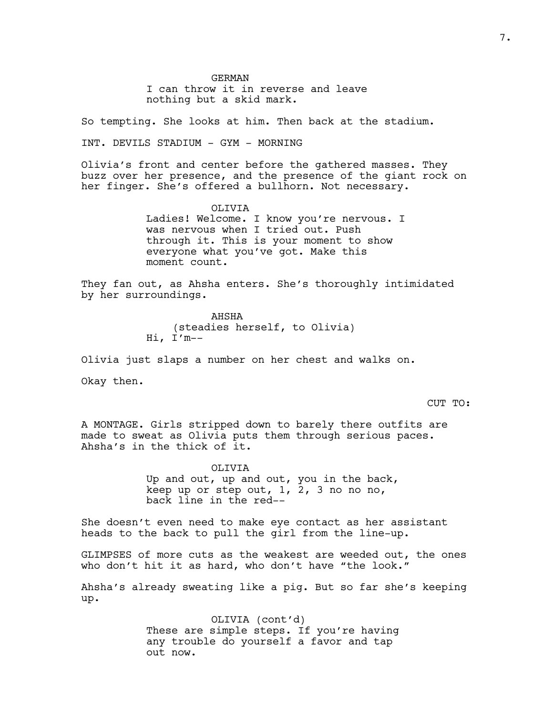GERMAN I can throw it in reverse and leave nothing but a skid mark.

So tempting. She looks at him. Then back at the stadium.

INT. DEVILS STADIUM - GYM - MORNING

Olivia's front and center before the gathered masses. They buzz over her presence, and the presence of the giant rock on her finger. She's offered a bullhorn. Not necessary.

> OLIVIA Ladies! Welcome. I know you're nervous. I was nervous when I tried out. Push through it. This is your moment to show everyone what you've got. Make this moment count.

They fan out, as Ahsha enters. She's thoroughly intimidated by her surroundings.

> AHSHA (steadies herself, to Olivia) Hi, I'm--

Olivia just slaps a number on her chest and walks on.

Okay then.

CUT TO:

A MONTAGE. Girls stripped down to barely there outfits are made to sweat as Olivia puts them through serious paces. Ahsha's in the thick of it.

> OLIVIA Up and out, up and out, you in the back, keep up or step out, 1, 2, 3 no no no, back line in the red--

She doesn't even need to make eye contact as her assistant heads to the back to pull the girl from the line-up.

GLIMPSES of more cuts as the weakest are weeded out, the ones who don't hit it as hard, who don't have "the look."

Ahsha's already sweating like a pig. But so far she's keeping up.

> OLIVIA (cont'd) These are simple steps. If you're having any trouble do yourself a favor and tap out now.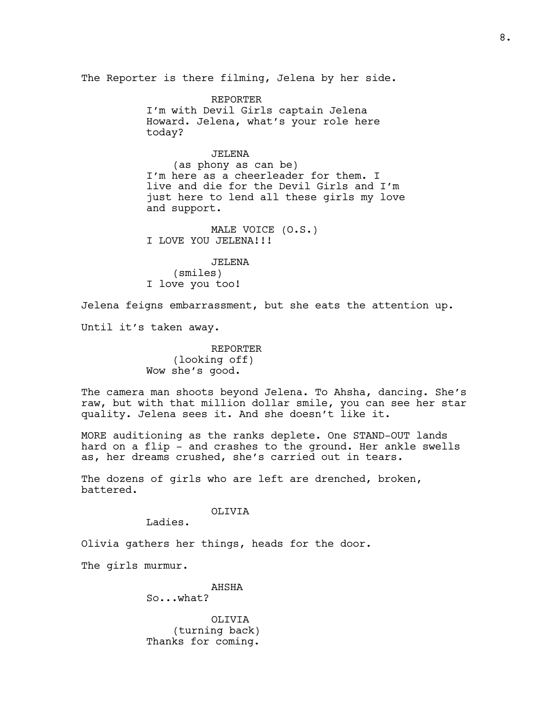The Reporter is there filming, Jelena by her side.

REPORTER I'm with Devil Girls captain Jelena Howard. Jelena, what's your role here today?

# JELENA

(as phony as can be) I'm here as a cheerleader for them. I live and die for the Devil Girls and I'm just here to lend all these girls my love and support.

MALE VOICE (O.S.) I LOVE YOU JELENA!!!

JELENA (smiles) I love you too!

Jelena feigns embarrassment, but she eats the attention up.

Until it's taken away.

REPORTER (looking off) Wow she's good.

The camera man shoots beyond Jelena. To Ahsha, dancing. She's raw, but with that million dollar smile, you can see her star quality. Jelena sees it. And she doesn't like it.

MORE auditioning as the ranks deplete. One STAND-OUT lands hard on a flip - and crashes to the ground. Her ankle swells as, her dreams crushed, she's carried out in tears.

The dozens of girls who are left are drenched, broken, battered.

OLIVIA

Ladies.

Olivia gathers her things, heads for the door.

The girls murmur.

AHSHA So...what?

OLIVIA (turning back) Thanks for coming.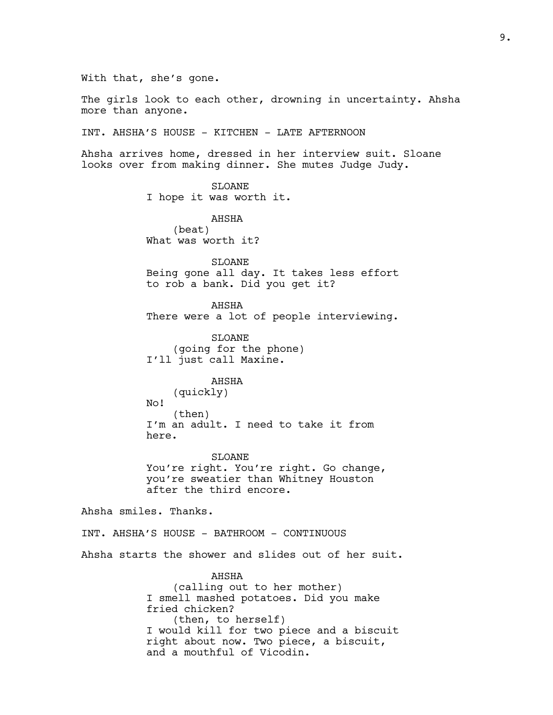With that, she's gone.

The girls look to each other, drowning in uncertainty. Ahsha more than anyone.

INT. AHSHA'S HOUSE - KITCHEN - LATE AFTERNOON

Ahsha arrives home, dressed in her interview suit. Sloane looks over from making dinner. She mutes Judge Judy.

SLOANE

I hope it was worth it.

AHSHA (beat) What was worth it?

SLOANE Being gone all day. It takes less effort to rob a bank. Did you get it?

AHSHA There were a lot of people interviewing.

SLOANE (going for the phone) I'll just call Maxine.

# AHSHA

(quickly) No! (then) I'm an adult. I need to take it from here.

SLOANE You're right. You're right. Go change, you're sweatier than Whitney Houston after the third encore.

Ahsha smiles. Thanks.

INT. AHSHA'S HOUSE - BATHROOM - CONTINUOUS

Ahsha starts the shower and slides out of her suit.

AHSHA (calling out to her mother) I smell mashed potatoes. Did you make fried chicken? (then, to herself) I would kill for two piece and a biscuit right about now. Two piece, a biscuit, and a mouthful of Vicodin.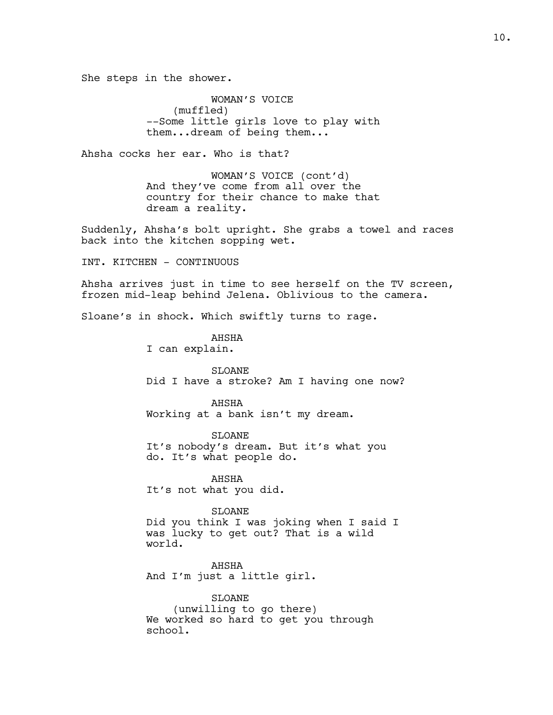She steps in the shower.

WOMAN'S VOICE (muffled) --Some little girls love to play with them...dream of being them...

Ahsha cocks her ear. Who is that?

WOMAN'S VOICE (cont'd) And they've come from all over the country for their chance to make that dream a reality.

Suddenly, Ahsha's bolt upright. She grabs a towel and races back into the kitchen sopping wet.

INT. KITCHEN - CONTINUOUS

Ahsha arrives just in time to see herself on the TV screen, frozen mid-leap behind Jelena. Oblivious to the camera.

Sloane's in shock. Which swiftly turns to rage.

AHSHA I can explain.

SLOANE Did I have a stroke? Am I having one now?

AHSHA Working at a bank isn't my dream.

SLOANE It's nobody's dream. But it's what you do. It's what people do.

AHSHA It's not what you did.

SLOANE Did you think I was joking when I said I was lucky to get out? That is a wild world.

AHSHA And I'm just a little girl.

SLOANE (unwilling to go there) We worked so hard to get you through school.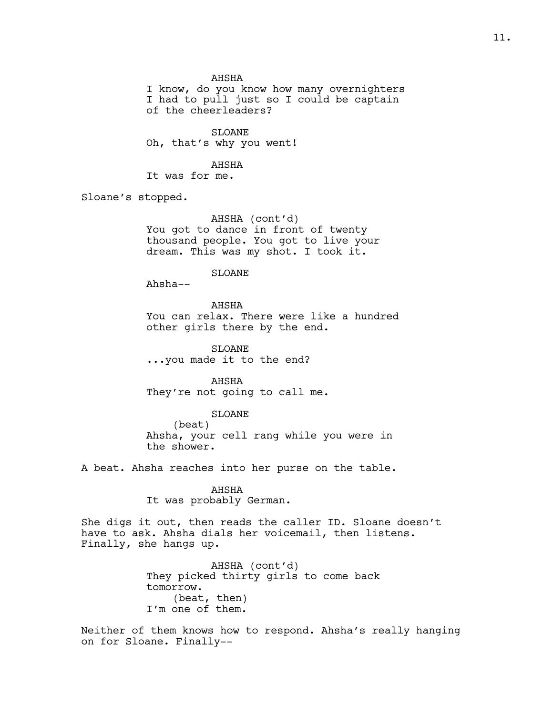AHSHA

I know, do you know how many overnighters I had to pull just so I could be captain of the cheerleaders?

SLOANE Oh, that's why you went!

AHSHA It was for me.

Sloane's stopped.

AHSHA (cont'd) You got to dance in front of twenty thousand people. You got to live your dream. This was my shot. I took it.

# SLOANE

Ahsha--

AHSHA You can relax. There were like a hundred other girls there by the end.

SLOANE ...you made it to the end?

AHSHA They're not going to call me.

#### SLOANE

(beat) Ahsha, your cell rang while you were in the shower.

A beat. Ahsha reaches into her purse on the table.

AHSHA It was probably German.

She digs it out, then reads the caller ID. Sloane doesn't have to ask. Ahsha dials her voicemail, then listens. Finally, she hangs up.

> AHSHA (cont'd) They picked thirty girls to come back tomorrow. (beat, then) I'm one of them.

Neither of them knows how to respond. Ahsha's really hanging on for Sloane. Finally--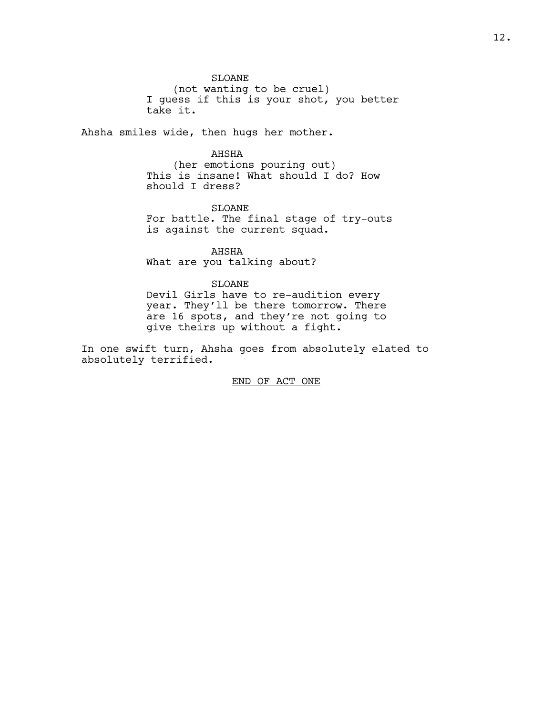#### SLOANE

(not wanting to be cruel) I guess if this is your shot, you better take it.

Ahsha smiles wide, then hugs her mother.

# AHSHA

(her emotions pouring out) This is insane! What should I do? How should I dress?

# SLOANE

For battle. The final stage of try-outs is against the current squad.

AHSHA What are you talking about?

#### SLOANE

Devil Girls have to re-audition every year. They'll be there tomorrow. There are 16 spots, and they're not going to give theirs up without a fight.

In one swift turn, Ahsha goes from absolutely elated to absolutely terrified.

# END OF ACT ONE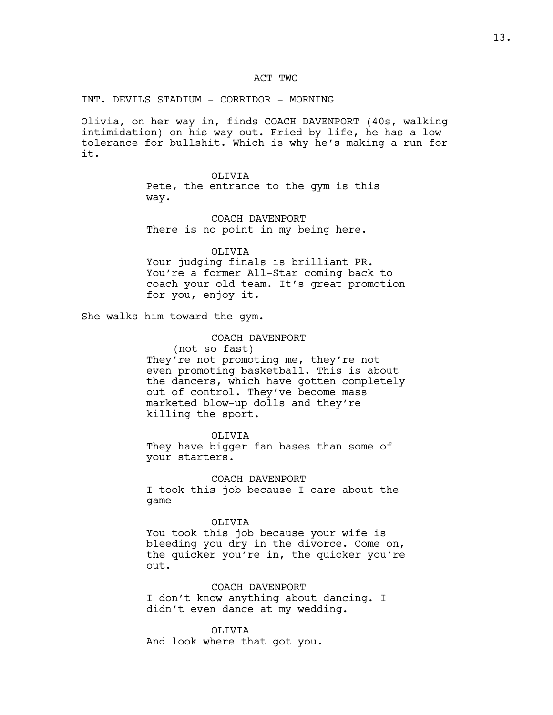#### ACT TWO

INT. DEVILS STADIUM - CORRIDOR - MORNING

Olivia, on her way in, finds COACH DAVENPORT (40s, walking intimidation) on his way out. Fried by life, he has a low tolerance for bullshit. Which is why he's making a run for it.

> OLIVIA Pete, the entrance to the gym is this way.

COACH DAVENPORT There is no point in my being here.

OLIVIA Your judging finals is brilliant PR. You're a former All-Star coming back to coach your old team. It's great promotion

She walks him toward the gym.

for you, enjoy it.

#### COACH DAVENPORT

(not so fast) They're not promoting me, they're not even promoting basketball. This is about the dancers, which have gotten completely out of control. They've become mass marketed blow-up dolls and they're killing the sport.

OLIVIA They have bigger fan bases than some of your starters.

COACH DAVENPORT I took this job because I care about the game--

# OLIVIA

You took this job because your wife is bleeding you dry in the divorce. Come on, the quicker you're in, the quicker you're out.

COACH DAVENPORT I don't know anything about dancing. I didn't even dance at my wedding.

OLIVIA And look where that got you.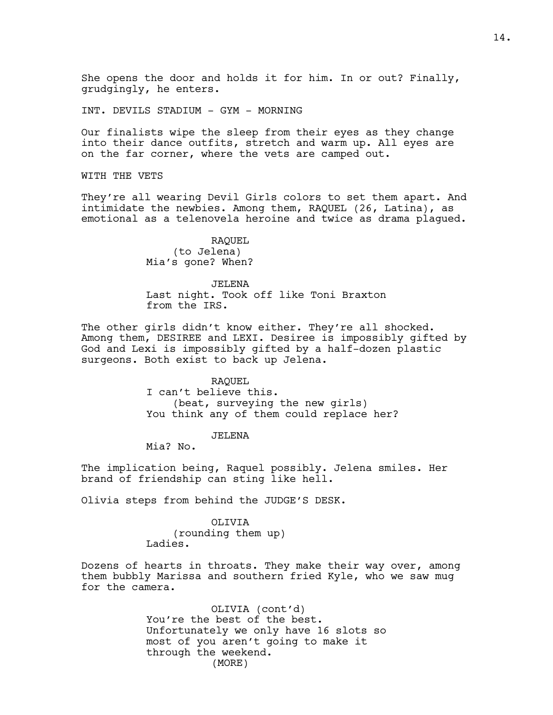She opens the door and holds it for him. In or out? Finally, grudgingly, he enters.

INT. DEVILS STADIUM - GYM - MORNING

Our finalists wipe the sleep from their eyes as they change into their dance outfits, stretch and warm up. All eyes are on the far corner, where the vets are camped out.

WITH THE VETS

They're all wearing Devil Girls colors to set them apart. And intimidate the newbies. Among them, RAQUEL (26, Latina), as emotional as a telenovela heroine and twice as drama plagued.

> RAQUEL (to Jelena) Mia's gone? When?

JELENA Last night. Took off like Toni Braxton from the IRS.

The other girls didn't know either. They're all shocked. Among them, DESIREE and LEXI. Desiree is impossibly gifted by God and Lexi is impossibly gifted by a half-dozen plastic surgeons. Both exist to back up Jelena.

> RAQUEL I can't believe this. (beat, surveying the new girls) You think any of them could replace her?

> > JELENA

Mia? No.

The implication being, Raquel possibly. Jelena smiles. Her brand of friendship can sting like hell.

Olivia steps from behind the JUDGE'S DESK.

OLIVIA (rounding them up) Ladies.

Dozens of hearts in throats. They make their way over, among them bubbly Marissa and southern fried Kyle, who we saw mug for the camera.

> OLIVIA (cont'd) You're the best of the best. Unfortunately we only have 16 slots so most of you aren't going to make it through the weekend. (MORE)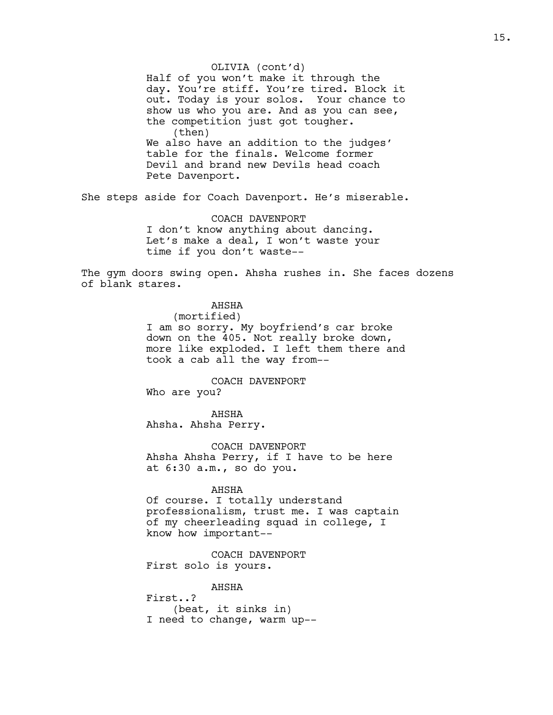Half of you won't make it through the day. You're stiff. You're tired. Block it out. Today is your solos. Your chance to show us who you are. And as you can see, the competition just got tougher. (then) We also have an addition to the judges' table for the finals. Welcome former Devil and brand new Devils head coach Pete Davenport. OLIVIA (cont'd)

She steps aside for Coach Davenport. He's miserable.

COACH DAVENPORT I don't know anything about dancing. Let's make a deal, I won't waste your time if you don't waste--

The gym doors swing open. Ahsha rushes in. She faces dozens of blank stares.

> AHSHA (mortified) I am so sorry. My boyfriend's car broke down on the 405. Not really broke down, more like exploded. I left them there and took a cab all the way from--

COACH DAVENPORT Who are you?

AHSHA Ahsha. Ahsha Perry.

COACH DAVENPORT Ahsha Ahsha Perry, if I have to be here at 6:30 a.m., so do you.

#### AHSHA

Of course. I totally understand professionalism, trust me. I was captain of my cheerleading squad in college, I know how important--

COACH DAVENPORT First solo is yours.

AHSHA First..? (beat, it sinks in) I need to change, warm up--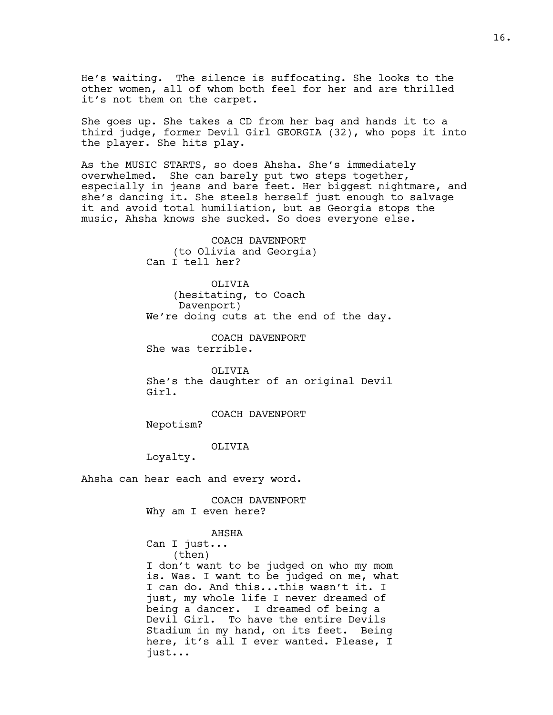He's waiting. The silence is suffocating. She looks to the other women, all of whom both feel for her and are thrilled it's not them on the carpet.

She goes up. She takes a CD from her bag and hands it to a third judge, former Devil Girl GEORGIA (32), who pops it into the player. She hits play.

As the MUSIC STARTS, so does Ahsha. She's immediately overwhelmed. She can barely put two steps together, especially in jeans and bare feet. Her biggest nightmare, and she's dancing it. She steels herself just enough to salvage it and avoid total humiliation, but as Georgia stops the music, Ahsha knows she sucked. So does everyone else.

> COACH DAVENPORT (to Olivia and Georgia) Can I tell her?

OLIVIA (hesitating, to Coach Davenport) We're doing cuts at the end of the day.

COACH DAVENPORT She was terrible.

OLTVTA She's the daughter of an original Devil Girl.

COACH DAVENPORT

Nepotism?

OLIVIA

Loyalty.

Ahsha can hear each and every word.

COACH DAVENPORT Why am I even here?

#### AHSHA

Can I just... (then) I don't want to be judged on who my mom is. Was. I want to be judged on me, what I can do. And this...this wasn't it. I just, my whole life I never dreamed of being a dancer. I dreamed of being a Devil Girl. To have the entire Devils Stadium in my hand, on its feet. Being here, it's all I ever wanted. Please, I just...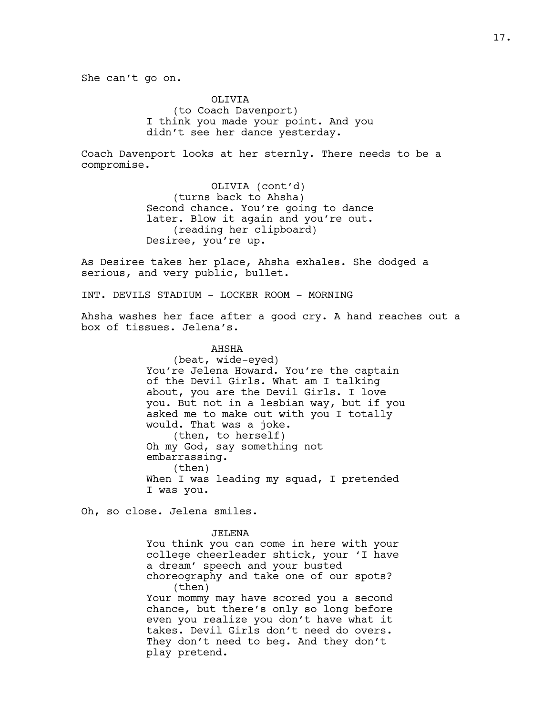She can't go on.

OLIVIA (to Coach Davenport) I think you made your point. And you didn't see her dance yesterday.

Coach Davenport looks at her sternly. There needs to be a compromise.

> OLIVIA (cont'd) (turns back to Ahsha) Second chance. You're going to dance later. Blow it again and you're out. (reading her clipboard) Desiree, you're up.

As Desiree takes her place, Ahsha exhales. She dodged a serious, and very public, bullet.

INT. DEVILS STADIUM - LOCKER ROOM - MORNING

Ahsha washes her face after a good cry. A hand reaches out a box of tissues. Jelena's.

> AHSHA (beat, wide-eyed) You're Jelena Howard. You're the captain of the Devil Girls. What am I talking about, you are the Devil Girls. I love you. But not in a lesbian way, but if you asked me to make out with you I totally would. That was a joke. (then, to herself) Oh my God, say something not embarrassing. (then) When I was leading my squad, I pretended I was you.

Oh, so close. Jelena smiles.

JELENA You think you can come in here with your college cheerleader shtick, your 'I have a dream' speech and your busted choreography and take one of our spots? (then) Your mommy may have scored you a second chance, but there's only so long before even you realize you don't have what it takes. Devil Girls don't need do overs. They don't need to beg. And they don't play pretend.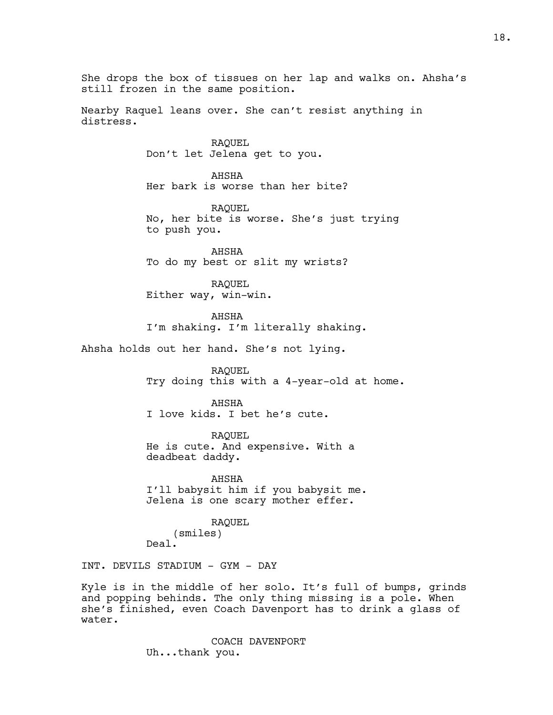She drops the box of tissues on her lap and walks on. Ahsha's still frozen in the same position. Nearby Raquel leans over. She can't resist anything in distress. RAQUEL Don't let Jelena get to you. AHSHA Her bark is worse than her bite? RAQUEL No, her bite is worse. She's just trying to push you. AHSHA To do my best or slit my wrists? RAQUEL Either way, win-win. AHSHA I'm shaking. I'm literally shaking. Ahsha holds out her hand. She's not lying. RAQUEL Try doing this with a 4-year-old at home. AHSHA I love kids. I bet he's cute. RAQUEL He is cute. And expensive. With a deadbeat daddy. AHSHA I'll babysit him if you babysit me. Jelena is one scary mother effer. RAQUEL (smiles) Deal. INT. DEVILS STADIUM - GYM - DAY Kyle is in the middle of her solo. It's full of bumps, grinds

and popping behinds. The only thing missing is a pole. When she's finished, even Coach Davenport has to drink a glass of water.

> COACH DAVENPORT Uh...thank you.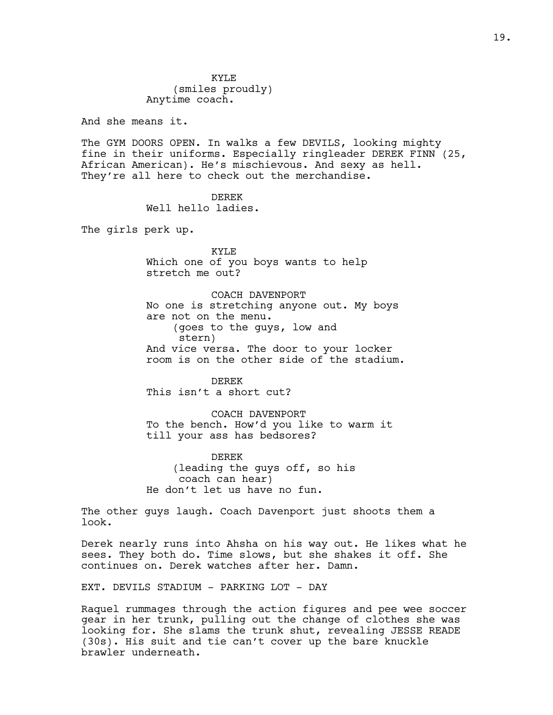KYLE (smiles proudly) Anytime coach.

And she means it.

The GYM DOORS OPEN. In walks a few DEVILS, looking mighty fine in their uniforms. Especially ringleader DEREK FINN (25, African American). He's mischievous. And sexy as hell. They're all here to check out the merchandise.

> DEREK Well hello ladies.

The girls perk up.

KYLE Which one of you boys wants to help stretch me out?

COACH DAVENPORT No one is stretching anyone out. My boys are not on the menu. (goes to the guys, low and stern) And vice versa. The door to your locker room is on the other side of the stadium.

DEREK This isn't a short cut?

COACH DAVENPORT To the bench. How'd you like to warm it till your ass has bedsores?

DEREK (leading the guys off, so his coach can hear) He don't let us have no fun.

The other guys laugh. Coach Davenport just shoots them a look.

Derek nearly runs into Ahsha on his way out. He likes what he sees. They both do. Time slows, but she shakes it off. She continues on. Derek watches after her. Damn.

EXT. DEVILS STADIUM - PARKING LOT - DAY

Raquel rummages through the action figures and pee wee soccer gear in her trunk, pulling out the change of clothes she was looking for. She slams the trunk shut, revealing JESSE READE (30s). His suit and tie can't cover up the bare knuckle brawler underneath.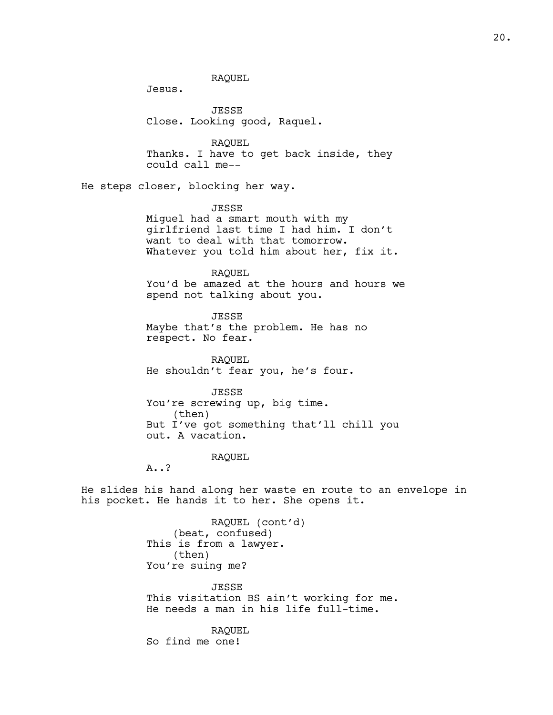RAQUEL

Jesus.

JESSE Close. Looking good, Raquel.

RAQUEL Thanks. I have to get back inside, they could call me--

He steps closer, blocking her way.

# JESSE

Miguel had a smart mouth with my girlfriend last time I had him. I don't want to deal with that tomorrow. Whatever you told him about her, fix it.

# RAQUEL

You'd be amazed at the hours and hours we spend not talking about you.

JESSE Maybe that's the problem. He has no respect. No fear.

RAQUEL He shouldn't fear you, he's four.

#### JESSE

You're screwing up, big time. (then) But I've got something that'll chill you out. A vacation.

#### RAQUEL

A..?

He slides his hand along her waste en route to an envelope in his pocket. He hands it to her. She opens it.

> RAQUEL (cont'd) (beat, confused) This is from a lawyer. (then) You're suing me?

JESSE This visitation BS ain't working for me. He needs a man in his life full-time.

RAQUEL So find me one!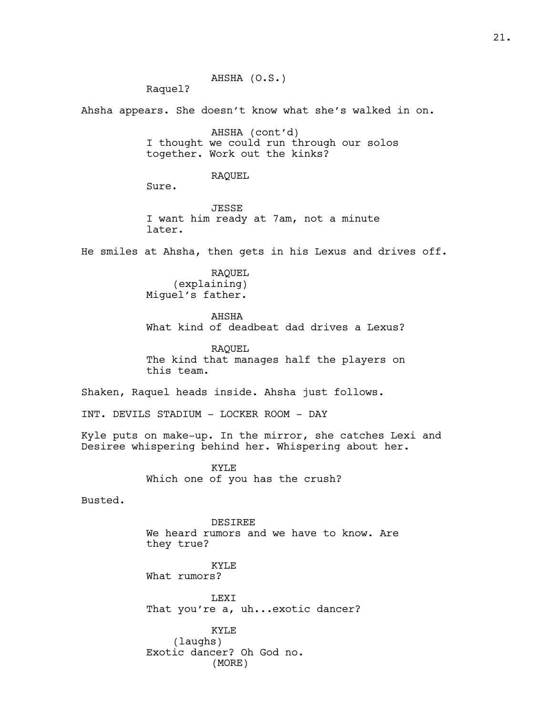AHSHA (O.S.) Raquel? Ahsha appears. She doesn't know what she's walked in on. AHSHA (cont'd) I thought we could run through our solos together. Work out the kinks? RAQUEL Sure. JESSE I want him ready at 7am, not a minute later. He smiles at Ahsha, then gets in his Lexus and drives off. RAQUEL (explaining) Miguel's father. AHSHA What kind of deadbeat dad drives a Lexus? RAQUEL The kind that manages half the players on this team. Shaken, Raquel heads inside. Ahsha just follows. INT. DEVILS STADIUM - LOCKER ROOM - DAY Kyle puts on make-up. In the mirror, she catches Lexi and Desiree whispering behind her. Whispering about her. KYLE Which one of you has the crush? Busted. DESIREE We heard rumors and we have to know. Are they true? KYLE What rumors? LEXI That you're a, uh...exotic dancer? KYLE (laughs) Exotic dancer? Oh God no. (MORE)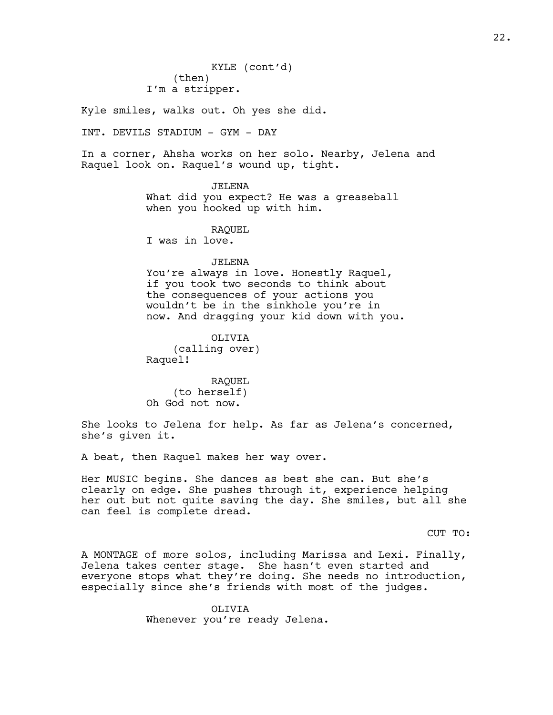Kyle smiles, walks out. Oh yes she did.

INT. DEVILS STADIUM - GYM - DAY

In a corner, Ahsha works on her solo. Nearby, Jelena and Raquel look on. Raquel's wound up, tight.

#### JELENA

What did you expect? He was a greaseball when you hooked up with him.

RAQUEL

I was in love.

#### JELENA

You're always in love. Honestly Raquel, if you took two seconds to think about the consequences of your actions you wouldn't be in the sinkhole you're in now. And dragging your kid down with you.

OLIVIA (calling over) Raquel!

RAQUEL (to herself) Oh God not now.

She looks to Jelena for help. As far as Jelena's concerned, she's given it.

A beat, then Raquel makes her way over.

Her MUSIC begins. She dances as best she can. But she's clearly on edge. She pushes through it, experience helping her out but not quite saving the day. She smiles, but all she can feel is complete dread.

CUT TO:

A MONTAGE of more solos, including Marissa and Lexi. Finally, Jelena takes center stage. She hasn't even started and everyone stops what they're doing. She needs no introduction, especially since she's friends with most of the judges.

> OLIVIA Whenever you're ready Jelena.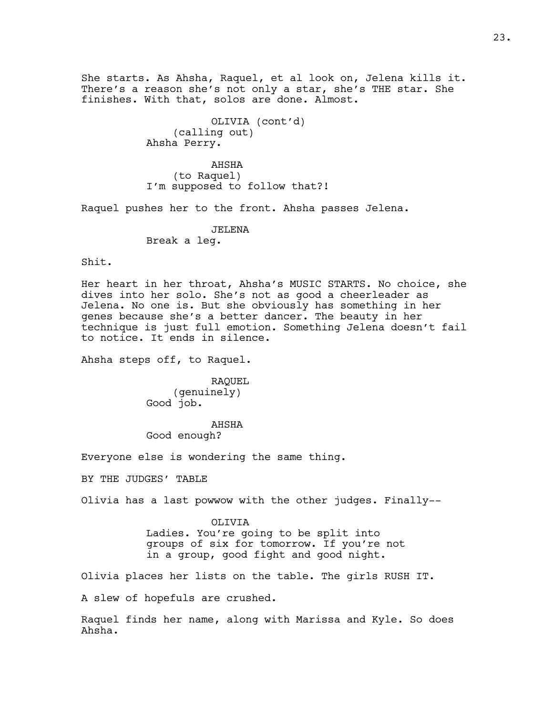She starts. As Ahsha, Raquel, et al look on, Jelena kills it. There's a reason she's not only a star, she's THE star. She finishes. With that, solos are done. Almost.

> OLIVIA (cont'd) (calling out) Ahsha Perry.

AHSHA (to Raquel) I'm supposed to follow that?!

Raquel pushes her to the front. Ahsha passes Jelena.

JELENA Break a leg.

Shit.

Her heart in her throat, Ahsha's MUSIC STARTS. No choice, she dives into her solo. She's not as good a cheerleader as Jelena. No one is. But she obviously has something in her genes because she's a better dancer. The beauty in her technique is just full emotion. Something Jelena doesn't fail to notice. It ends in silence.

Ahsha steps off, to Raquel.

RAQUEL (genuinely) Good job.

AHSHA Good enough?

Everyone else is wondering the same thing.

BY THE JUDGES' TABLE

Olivia has a last powwow with the other judges. Finally--

OLIVIA Ladies. You're going to be split into groups of six for tomorrow. If you're not in a group, good fight and good night.

Olivia places her lists on the table. The girls RUSH IT.

A slew of hopefuls are crushed.

Raquel finds her name, along with Marissa and Kyle. So does Ahsha.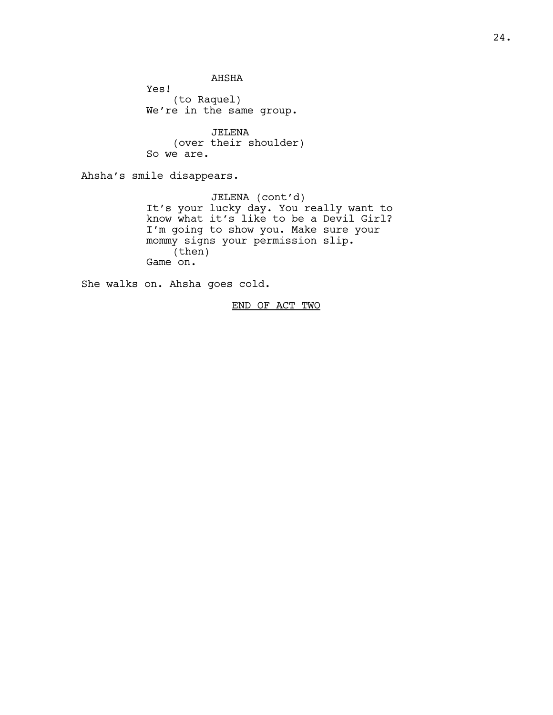AHSHA

Yes! (to Raquel) We're in the same group.

JELENA (over their shoulder) So we are.

Ahsha's smile disappears.

JELENA (cont'd) It's your lucky day. You really want to know what it's like to be a Devil Girl? I'm going to show you. Make sure your mommy signs your permission slip. (then) Game on.

She walks on. Ahsha goes cold.

END OF ACT TWO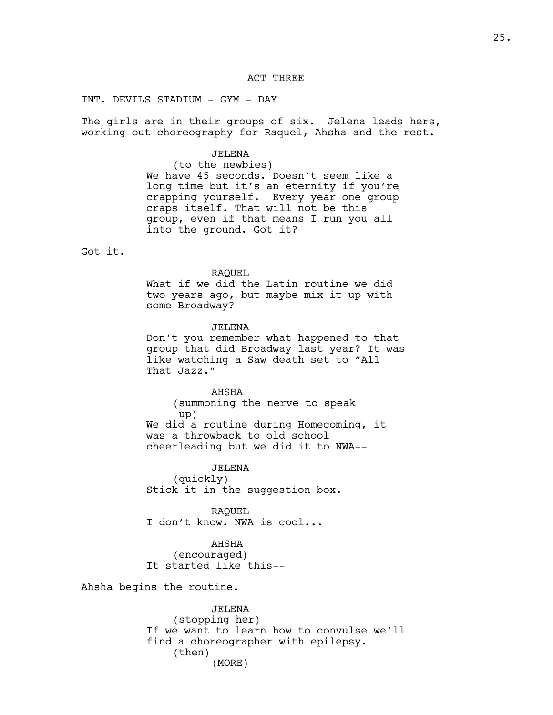#### ACT THREE

# INT. DEVILS STADIUM - GYM - DAY

The girls are in their groups of six. Jelena leads hers, working out choreography for Raquel, Ahsha and the rest.

## JELENA

(to the newbies) We have 45 seconds. Doesn't seem like a long time but it's an eternity if you're crapping yourself. Every year one group craps itself. That will not be this group, even if that means I run you all into the ground. Got it?

Got it.

### RAQUEL

What if we did the Latin routine we did two years ago, but maybe mix it up with some Broadway?

JELENA

Don't you remember what happened to that group that did Broadway last year? It was like watching a Saw death set to "All That Jazz."

AHSHA

(summoning the nerve to speak up) We did a routine during Homecoming, it was a throwback to old school cheerleading but we did it to NWA--

JELENA (quickly) Stick it in the suggestion box.

RAQUEL I don't know. NWA is cool...

AHSHA (encouraged) It started like this--

Ahsha begins the routine.

JELENA (stopping her) If we want to learn how to convulse we'll find a choreographer with epilepsy. (then) (MORE)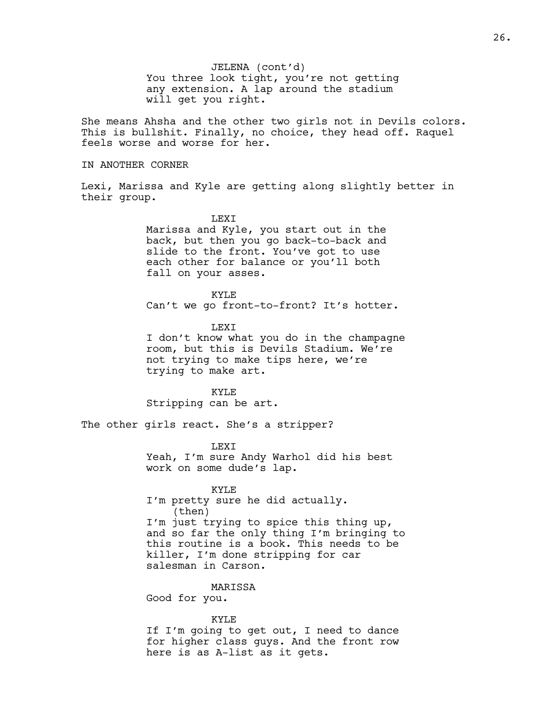You three look tight, you're not getting any extension. A lap around the stadium will get you right. JELENA (cont'd)

She means Ahsha and the other two girls not in Devils colors. This is bullshit. Finally, no choice, they head off. Raquel feels worse and worse for her.

## IN ANOTHER CORNER

Lexi, Marissa and Kyle are getting along slightly better in their group.

# LEXI

Marissa and Kyle, you start out in the back, but then you go back-to-back and slide to the front. You've got to use each other for balance or you'll both fall on your asses.

KYLE

Can't we go front-to-front? It's hotter.

**LEXT** I don't know what you do in the champagne room, but this is Devils Stadium. We're not trying to make tips here, we're trying to make art.

KYLE Stripping can be art.

The other girls react. She's a stripper?

#### **LEXT**

Yeah, I'm sure Andy Warhol did his best work on some dude's lap.

#### KYLE

I'm pretty sure he did actually. (then) I'm just trying to spice this thing up, and so far the only thing I'm bringing to this routine is a book. This needs to be killer, I'm done stripping for car salesman in Carson.

# MARISSA

Good for you.

#### KYLE

If I'm going to get out, I need to dance for higher class guys. And the front row here is as A-list as it gets.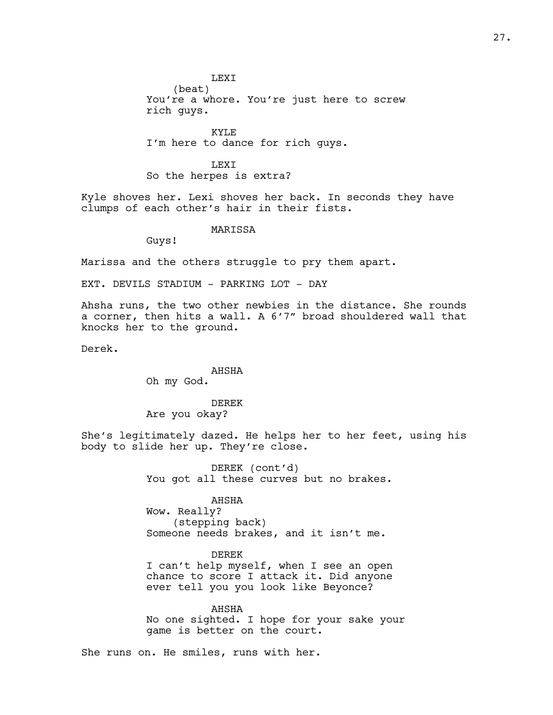#### LEXI

(beat) You're a whore. You're just here to screw rich guys.

KYLE I'm here to dance for rich guys.

LEXI So the herpes is extra?

Kyle shoves her. Lexi shoves her back. In seconds they have clumps of each other's hair in their fists.

# MARISSA

Guys!

Marissa and the others struggle to pry them apart.

EXT. DEVILS STADIUM - PARKING LOT - DAY

Ahsha runs, the two other newbies in the distance. She rounds a corner, then hits a wall. A 6'7" broad shouldered wall that knocks her to the ground.

Derek.

AHSHA Oh my God.

DEREK Are you okay?

She's legitimately dazed. He helps her to her feet, using his body to slide her up. They're close.

> DEREK (cont'd) You got all these curves but no brakes.

#### AHSHA

Wow. Really? (stepping back) Someone needs brakes, and it isn't me.

#### DEREK

I can't help myself, when I see an open chance to score I attack it. Did anyone ever tell you you look like Beyonce?

AHSHA No one sighted. I hope for your sake your game is better on the court.

She runs on. He smiles, runs with her.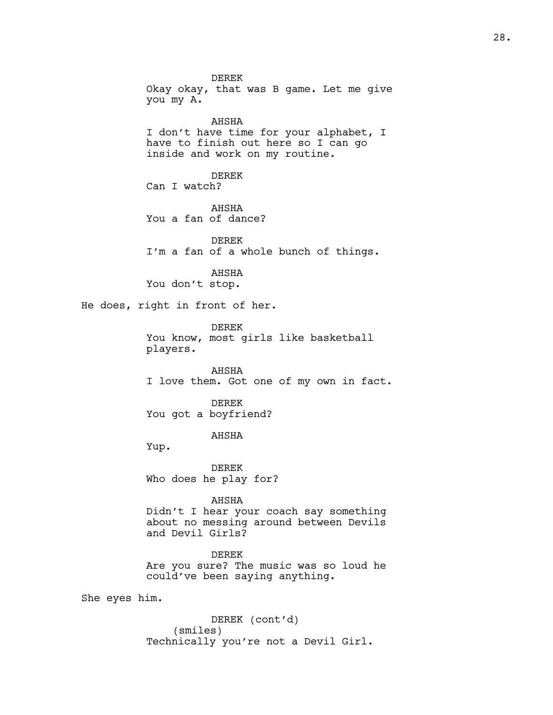DEREK Okay okay, that was B game. Let me give you my A. AHSHA I don't have time for your alphabet, I have to finish out here so I can go inside and work on my routine. DEREK Can I watch? AHSHA You a fan of dance? DEREK I'm a fan of a whole bunch of things. AHSHA You don't stop. He does, right in front of her. DEREK You know, most girls like basketball players. AHSHA I love them. Got one of my own in fact. DEREK You got a boyfriend? AHSHA Yup. DEREK Who does he play for? AHSHA Didn't I hear your coach say something about no messing around between Devils and Devil Girls? DEREK Are you sure? The music was so loud he could've been saying anything. She eyes him.

> DEREK (cont'd) (smiles) Technically you're not a Devil Girl.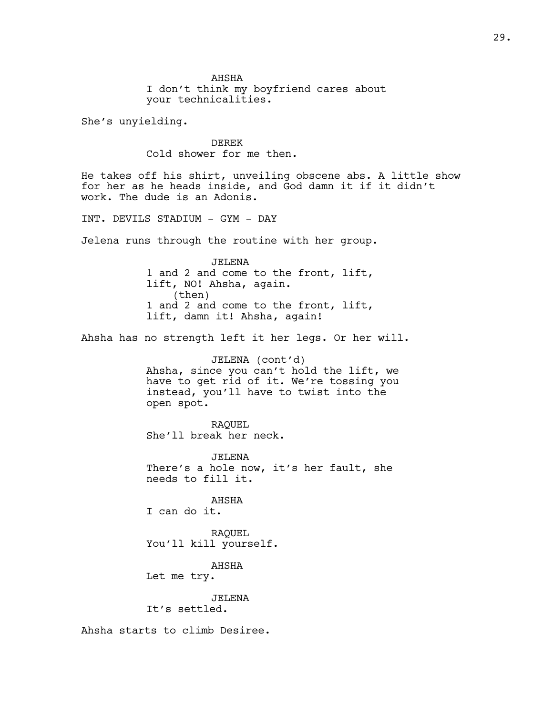AHSHA I don't think my boyfriend cares about your technicalities.

She's unyielding.

DEREK Cold shower for me then.

He takes off his shirt, unveiling obscene abs. A little show for her as he heads inside, and God damn it if it didn't work. The dude is an Adonis.

INT. DEVILS STADIUM - GYM - DAY

Jelena runs through the routine with her group.

JELENA 1 and 2 and come to the front, lift, lift, NO! Ahsha, again. (then) 1 and 2 and come to the front, lift, lift, damn it! Ahsha, again!

Ahsha has no strength left it her legs. Or her will.

JELENA (cont'd) Ahsha, since you can't hold the lift, we have to get rid of it. We're tossing you instead, you'll have to twist into the open spot.

RAQUEL She'll break her neck.

JELENA There's a hole now, it's her fault, she needs to fill it.

AHSHA I can do it.

RAQUEL You'll kill yourself.

AHSHA

Let me try.

JELENA It's settled.

Ahsha starts to climb Desiree.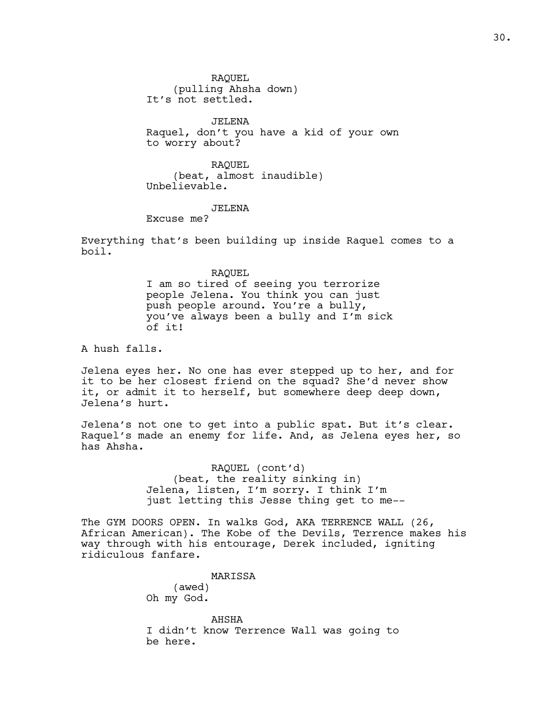RAQUEL (pulling Ahsha down) It's not settled.

JELENA Raquel, don't you have a kid of your own to worry about?

RAQUEL (beat, almost inaudible) Unbelievable.

JELENA

Excuse me?

Everything that's been building up inside Raquel comes to a boil.

RAQUEL

I am so tired of seeing you terrorize people Jelena. You think you can just push people around. You're a bully, you've always been a bully and I'm sick of it!

A hush falls.

Jelena eyes her. No one has ever stepped up to her, and for it to be her closest friend on the squad? She'd never show it, or admit it to herself, but somewhere deep deep down, Jelena's hurt.

Jelena's not one to get into a public spat. But it's clear. Raquel's made an enemy for life. And, as Jelena eyes her, so has Ahsha.

> RAQUEL (cont'd) (beat, the reality sinking in) Jelena, listen, I'm sorry. I think I'm just letting this Jesse thing get to me--

The GYM DOORS OPEN. In walks God, AKA TERRENCE WALL (26, African American). The Kobe of the Devils, Terrence makes his way through with his entourage, Derek included, igniting ridiculous fanfare.

MARISSA

(awed) Oh my God.

AHSHA I didn't know Terrence Wall was going to be here.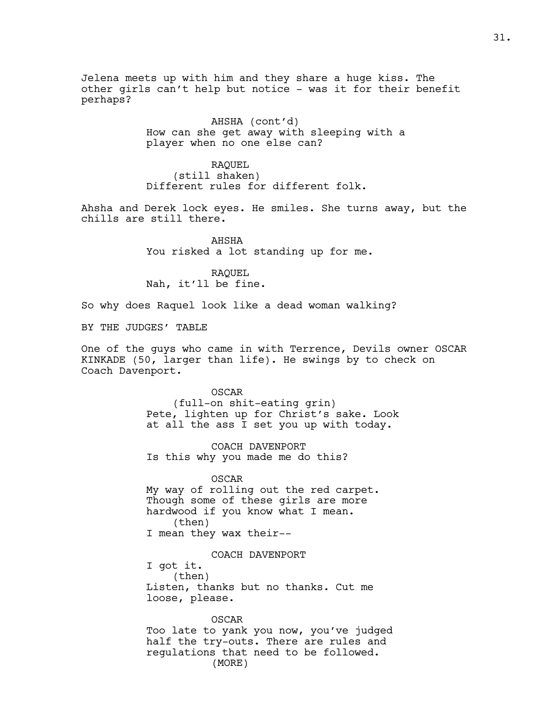Jelena meets up with him and they share a huge kiss. The other girls can't help but notice - was it for their benefit perhaps?

> AHSHA (cont'd) How can she get away with sleeping with a player when no one else can?

RAQUEL (still shaken) Different rules for different folk.

Ahsha and Derek lock eyes. He smiles. She turns away, but the chills are still there.

> AHSHA You risked a lot standing up for me.

RAQUEL Nah, it'll be fine.

So why does Raquel look like a dead woman walking?

BY THE JUDGES' TABLE

One of the guys who came in with Terrence, Devils owner OSCAR KINKADE (50, larger than life). He swings by to check on Coach Davenport.

> OSCAR (full-on shit-eating grin) Pete, lighten up for Christ's sake. Look at all the ass I set you up with today.

COACH DAVENPORT Is this why you made me do this?

OSCAR My way of rolling out the red carpet. Though some of these girls are more hardwood if you know what I mean. (then) I mean they wax their--

COACH DAVENPORT I got it. (then) Listen, thanks but no thanks. Cut me loose, please.

OSCAR Too late to yank you now, you've judged half the try-outs. There are rules and regulations that need to be followed. (MORE)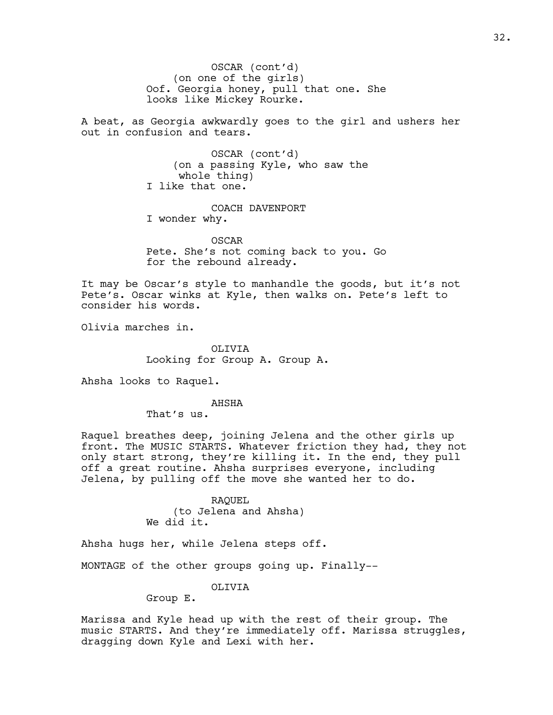(on one of the girls) Oof. Georgia honey, pull that one. She looks like Mickey Rourke. OSCAR (cont'd)

A beat, as Georgia awkwardly goes to the girl and ushers her out in confusion and tears.

> OSCAR (cont'd) (on a passing Kyle, who saw the whole thing) I like that one.

COACH DAVENPORT I wonder why.

OSCAR Pete. She's not coming back to you. Go for the rebound already.

It may be Oscar's style to manhandle the goods, but it's not Pete's. Oscar winks at Kyle, then walks on. Pete's left to consider his words.

Olivia marches in.

OLIVIA Looking for Group A. Group A.

Ahsha looks to Raquel.

AHSHA

That's us.

Raquel breathes deep, joining Jelena and the other girls up front. The MUSIC STARTS. Whatever friction they had, they not only start strong, they're killing it. In the end, they pull off a great routine. Ahsha surprises everyone, including Jelena, by pulling off the move she wanted her to do.

> RAQUEL (to Jelena and Ahsha) We did it.

Ahsha hugs her, while Jelena steps off.

MONTAGE of the other groups going up. Finally--

OLIVIA

Group E.

Marissa and Kyle head up with the rest of their group. The music STARTS. And they're immediately off. Marissa struggles, dragging down Kyle and Lexi with her.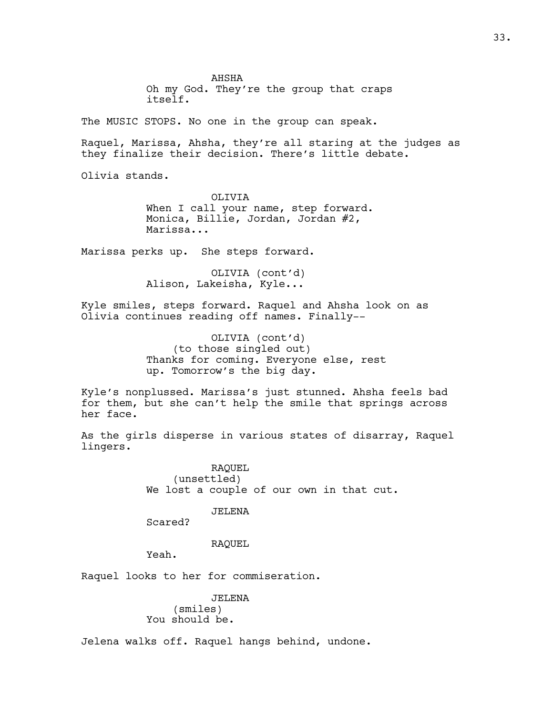AHSHA Oh my God. They're the group that craps itself.

The MUSIC STOPS. No one in the group can speak.

Raquel, Marissa, Ahsha, they're all staring at the judges as they finalize their decision. There's little debate.

Olivia stands.

OLIVIA When I call your name, step forward. Monica, Billie, Jordan, Jordan #2, Marissa...

Marissa perks up. She steps forward.

OLIVIA (cont'd) Alison, Lakeisha, Kyle...

Kyle smiles, steps forward. Raquel and Ahsha look on as Olivia continues reading off names. Finally--

> OLIVIA (cont'd) (to those singled out) Thanks for coming. Everyone else, rest up. Tomorrow's the big day.

Kyle's nonplussed. Marissa's just stunned. Ahsha feels bad for them, but she can't help the smile that springs across her face.

As the girls disperse in various states of disarray, Raquel lingers.

> RAQUEL (unsettled) We lost a couple of our own in that cut.

# JELENA

Scared?

#### RAQUEL

Yeah.

Raquel looks to her for commiseration.

JELENA (smiles) You should be.

Jelena walks off. Raquel hangs behind, undone.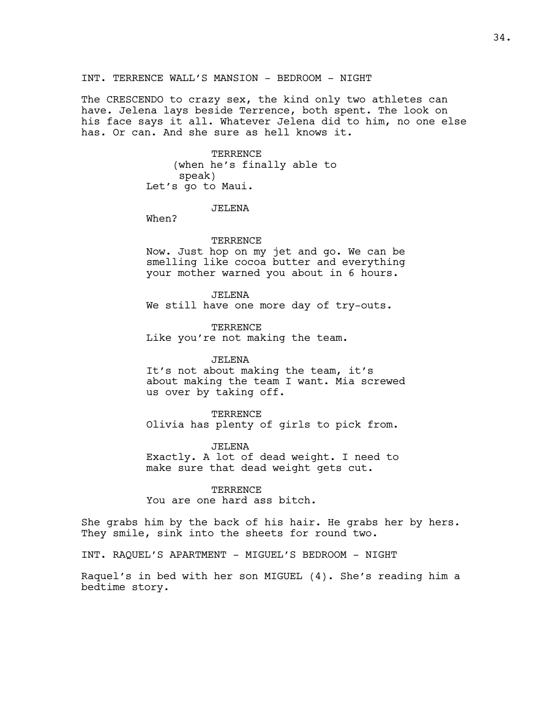# INT. TERRENCE WALL'S MANSION - BEDROOM - NIGHT

The CRESCENDO to crazy sex, the kind only two athletes can have. Jelena lays beside Terrence, both spent. The look on his face says it all. Whatever Jelena did to him, no one else has. Or can. And she sure as hell knows it.

> TERRENCE (when he's finally able to speak) Let's go to Maui.

> > JELENA

When?

#### **TERRENCE**

Now. Just hop on my jet and go. We can be smelling like cocoa butter and everything your mother warned you about in 6 hours.

JELENA

We still have one more day of try-outs.

**TERRENCE** Like you're not making the team.

#### JELENA

It's not about making the team, it's about making the team I want. Mia screwed us over by taking off.

#### TERRENCE

Olivia has plenty of girls to pick from.

# JELENA

Exactly. A lot of dead weight. I need to make sure that dead weight gets cut.

#### **TERRENCE**

You are one hard ass bitch.

She grabs him by the back of his hair. He grabs her by hers. They smile, sink into the sheets for round two.

INT. RAQUEL'S APARTMENT - MIGUEL'S BEDROOM - NIGHT

Raquel's in bed with her son MIGUEL (4). She's reading him a bedtime story.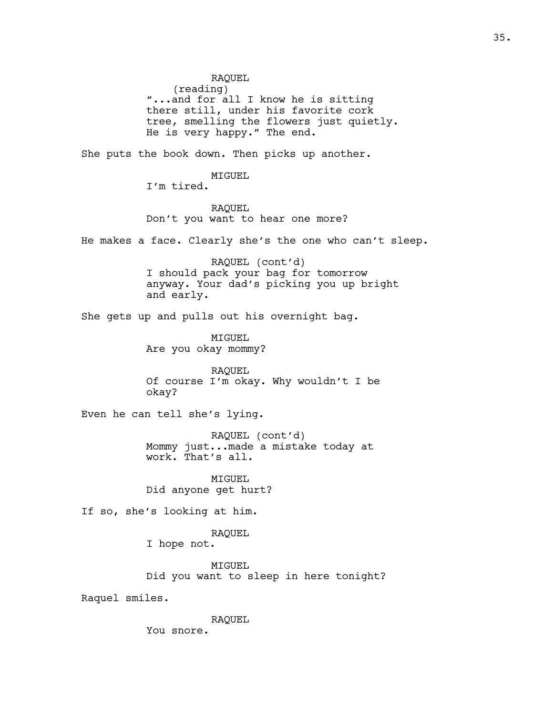RAQUEL

(reading)

"...and for all I know he is sitting there still, under his favorite cork tree, smelling the flowers just quietly. He is very happy." The end.

She puts the book down. Then picks up another.

MIGUEL

I'm tired.

RAQUEL Don't you want to hear one more?

He makes a face. Clearly she's the one who can't sleep.

RAQUEL (cont'd) I should pack your bag for tomorrow anyway. Your dad's picking you up bright and early.

She gets up and pulls out his overnight bag.

MIGUEL Are you okay mommy?

RAQUEL Of course I'm okay. Why wouldn't I be okay?

Even he can tell she's lying.

RAQUEL (cont'd) Mommy just...made a mistake today at work. That's all.

MIGUEL Did anyone get hurt?

If so, she's looking at him.

RAQUEL

I hope not.

MIGUEL Did you want to sleep in here tonight?

Raquel smiles.

RAQUEL

You snore.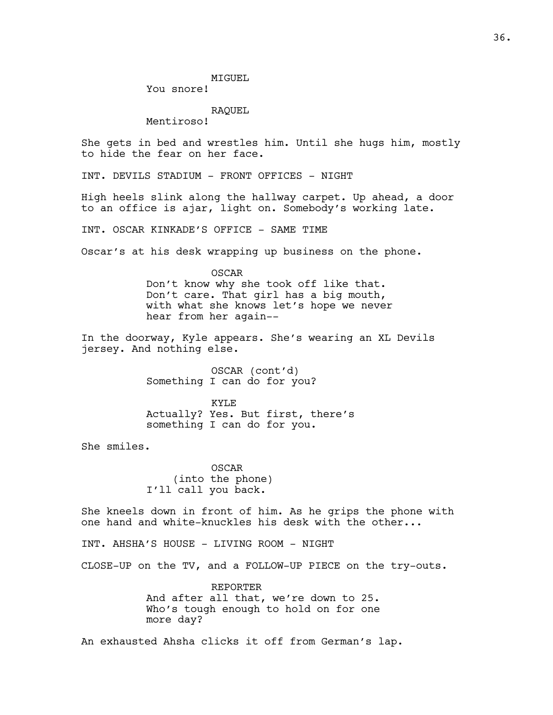You snore!

RAQUEL

Mentiroso!

She gets in bed and wrestles him. Until she hugs him, mostly to hide the fear on her face.

INT. DEVILS STADIUM - FRONT OFFICES - NIGHT

High heels slink along the hallway carpet. Up ahead, a door to an office is ajar, light on. Somebody's working late.

INT. OSCAR KINKADE'S OFFICE - SAME TIME

Oscar's at his desk wrapping up business on the phone.

OSCAR Don't know why she took off like that. Don't care. That girl has a big mouth, with what she knows let's hope we never hear from her again--

In the doorway, Kyle appears. She's wearing an XL Devils jersey. And nothing else.

> OSCAR (cont'd) Something I can do for you?

KYLE Actually? Yes. But first, there's something I can do for you.

She smiles.

OSCAR (into the phone) I'll call you back.

She kneels down in front of him. As he grips the phone with one hand and white-knuckles his desk with the other...

INT. AHSHA'S HOUSE - LIVING ROOM - NIGHT

CLOSE-UP on the TV, and a FOLLOW-UP PIECE on the try-outs.

REPORTER And after all that, we're down to 25. Who's tough enough to hold on for one more day?

An exhausted Ahsha clicks it off from German's lap.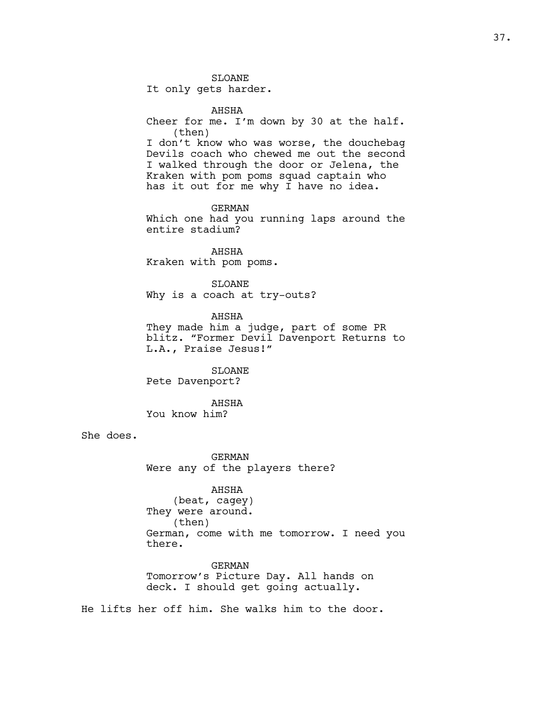SLOANE

It only gets harder.

AHSHA Cheer for me. I'm down by 30 at the half. (then) I don't know who was worse, the douchebag Devils coach who chewed me out the second I walked through the door or Jelena, the Kraken with pom poms squad captain who has it out for me why I have no idea.

GERMAN Which one had you running laps around the entire stadium?

AHSHA Kraken with pom poms.

SLOANE Why is a coach at try-outs?

AHSHA They made him a judge, part of some PR blitz. "Former Devil Davenport Returns to L.A., Praise Jesus!"

SLOANE Pete Davenport?

AHSHA You know him?

She does.

GERMAN Were any of the players there?

AHSHA (beat, cagey) They were around. (then) German, come with me tomorrow. I need you there.

GERMAN Tomorrow's Picture Day. All hands on deck. I should get going actually.

He lifts her off him. She walks him to the door.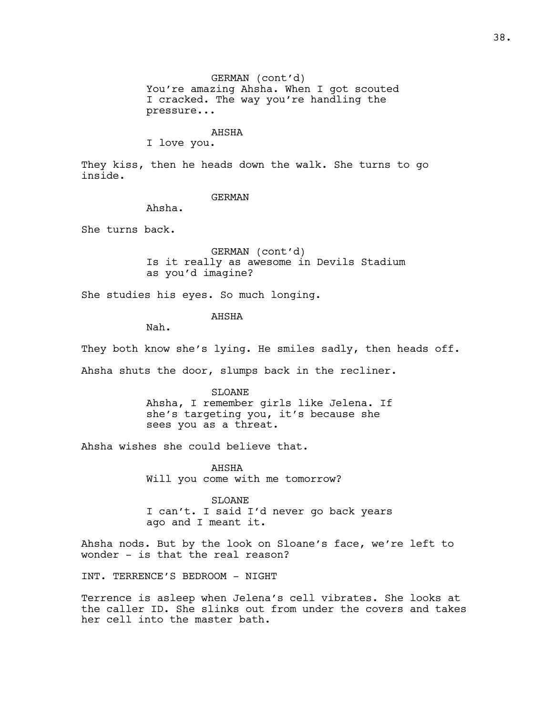GERMAN (cont'd) You're amazing Ahsha. When I got scouted I cracked. The way you're handling the pressure...

#### AHSHA

I love you.

They kiss, then he heads down the walk. She turns to go inside.

#### GERMAN

Ahsha.

She turns back.

GERMAN (cont'd) Is it really as awesome in Devils Stadium as you'd imagine?

She studies his eyes. So much longing.

# AHSHA

Nah.

They both know she's lying. He smiles sadly, then heads off.

Ahsha shuts the door, slumps back in the recliner.

SLOANE Ahsha, I remember girls like Jelena. If she's targeting you, it's because she sees you as a threat.

Ahsha wishes she could believe that.

AHSHA Will you come with me tomorrow?

SLOANE I can't. I said I'd never go back years ago and I meant it.

Ahsha nods. But by the look on Sloane's face, we're left to wonder - is that the real reason?

INT. TERRENCE'S BEDROOM - NIGHT

Terrence is asleep when Jelena's cell vibrates. She looks at the caller ID. She slinks out from under the covers and takes her cell into the master bath.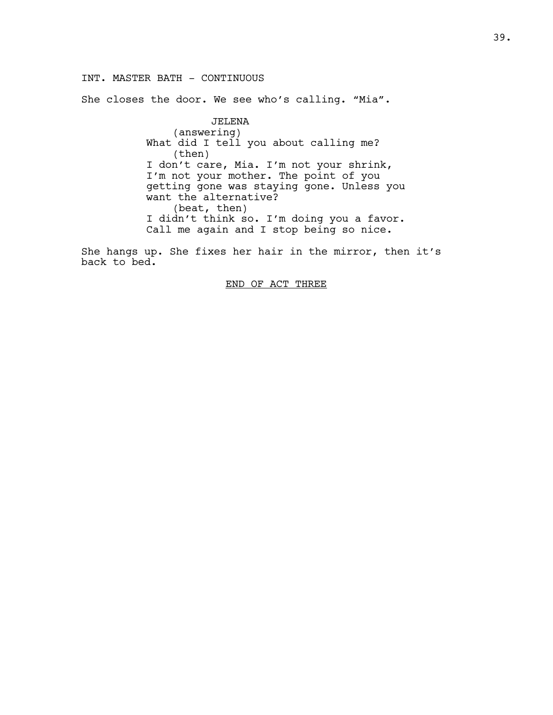# INT. MASTER BATH - CONTINUOUS

She closes the door. We see who's calling. "Mia".

JELENA (answering) What did I tell you about calling me? (then) I don't care, Mia. I'm not your shrink, I'm not your mother. The point of you getting gone was staying gone. Unless you want the alternative? (beat, then) I didn't think so. I'm doing you a favor. Call me again and I stop being so nice.

She hangs up. She fixes her hair in the mirror, then it's back to bed.

END OF ACT THREE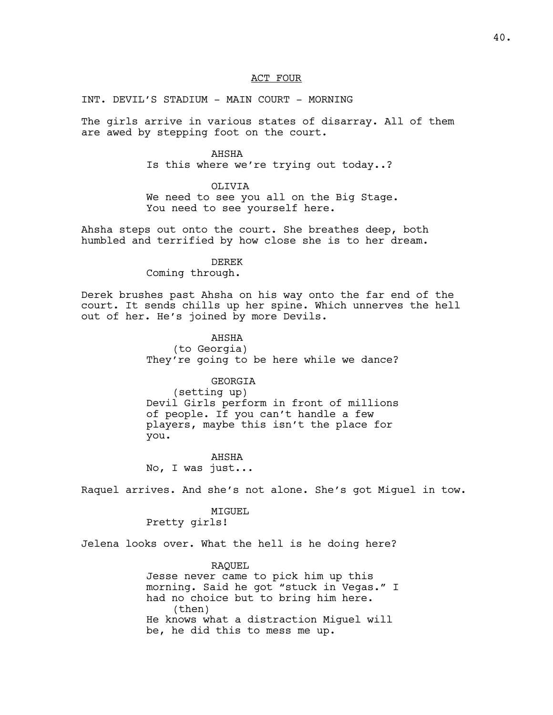#### ACT FOUR

INT. DEVIL'S STADIUM - MAIN COURT - MORNING

The girls arrive in various states of disarray. All of them are awed by stepping foot on the court.

# AHSHA Is this where we're trying out today..?

#### OLIVIA

We need to see you all on the Big Stage. You need to see yourself here.

Ahsha steps out onto the court. She breathes deep, both humbled and terrified by how close she is to her dream.

# DEREK

Coming through.

Derek brushes past Ahsha on his way onto the far end of the court. It sends chills up her spine. Which unnerves the hell out of her. He's joined by more Devils.

> AHSHA (to Georgia) They're going to be here while we dance?

## GEORGIA

(setting up) Devil Girls perform in front of millions of people. If you can't handle a few players, maybe this isn't the place for you.

AHSHA No, I was just...

Raquel arrives. And she's not alone. She's got Miguel in tow.

## MIGUEL Pretty girls!

Jelena looks over. What the hell is he doing here?

RAQUEL Jesse never came to pick him up this morning. Said he got "stuck in Vegas." I had no choice but to bring him here. (then) He knows what a distraction Miguel will be, he did this to mess me up.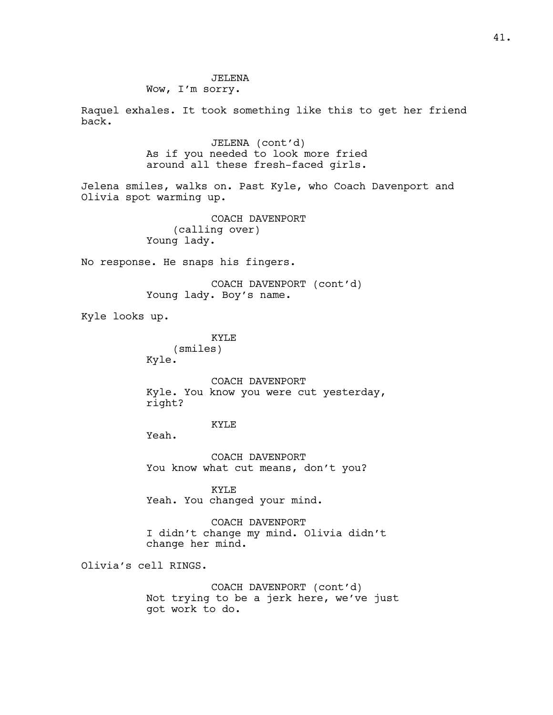JELENA Wow, I'm sorry.

Raquel exhales. It took something like this to get her friend back.

> JELENA (cont'd) As if you needed to look more fried around all these fresh-faced girls.

Jelena smiles, walks on. Past Kyle, who Coach Davenport and Olivia spot warming up.

> COACH DAVENPORT (calling over) Young lady.

No response. He snaps his fingers.

COACH DAVENPORT (cont'd) Young lady. Boy's name.

Kyle looks up.

KYLE (smiles) Kyle.

COACH DAVENPORT Kyle. You know you were cut yesterday, right?

# KYLE

Yeah.

COACH DAVENPORT You know what cut means, don't you?

KYLE Yeah. You changed your mind.

COACH DAVENPORT I didn't change my mind. Olivia didn't change her mind.

Olivia's cell RINGS.

COACH DAVENPORT (cont'd) Not trying to be a jerk here, we've just got work to do.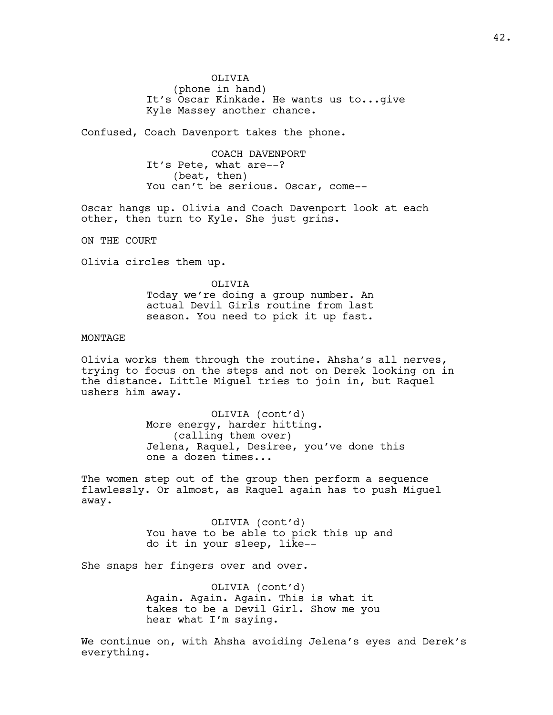OLIVIA (phone in hand) It's Oscar Kinkade. He wants us to...give Kyle Massey another chance.

Confused, Coach Davenport takes the phone.

COACH DAVENPORT It's Pete, what are--? (beat, then) You can't be serious. Oscar, come--

Oscar hangs up. Olivia and Coach Davenport look at each other, then turn to Kyle. She just grins.

ON THE COURT

Olivia circles them up.

OLIVIA Today we're doing a group number. An actual Devil Girls routine from last season. You need to pick it up fast.

# MONTAGE

Olivia works them through the routine. Ahsha's all nerves, trying to focus on the steps and not on Derek looking on in the distance. Little Miguel tries to join in, but Raquel ushers him away.

> OLIVIA (cont'd) More energy, harder hitting. (calling them over) Jelena, Raquel, Desiree, you've done this one a dozen times...

The women step out of the group then perform a sequence flawlessly. Or almost, as Raquel again has to push Miguel away.

> OLIVIA (cont'd) You have to be able to pick this up and do it in your sleep, like--

She snaps her fingers over and over.

OLIVIA (cont'd) Again. Again. Again. This is what it takes to be a Devil Girl. Show me you hear what I'm saying.

We continue on, with Ahsha avoiding Jelena's eyes and Derek's everything.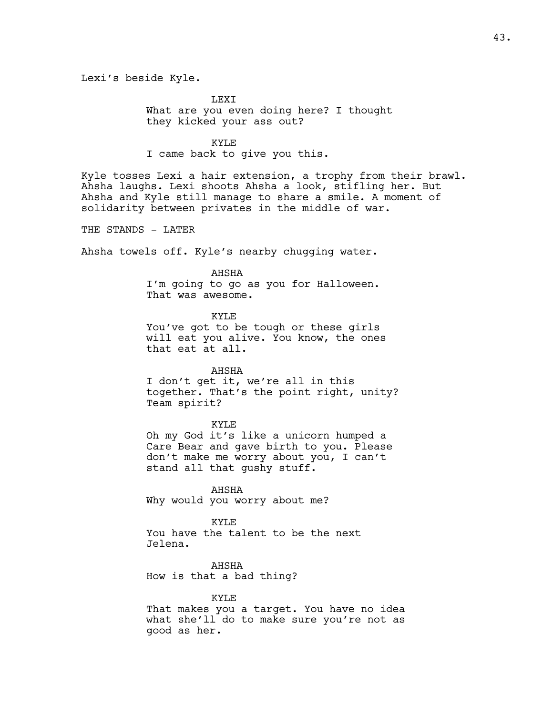Lexi's beside Kyle.

LEXI What are you even doing here? I thought they kicked your ass out?

KYLE I came back to give you this.

Kyle tosses Lexi a hair extension, a trophy from their brawl. Ahsha laughs. Lexi shoots Ahsha a look, stifling her. But Ahsha and Kyle still manage to share a smile. A moment of solidarity between privates in the middle of war.

THE STANDS - LATER

Ahsha towels off. Kyle's nearby chugging water.

# AHSHA

I'm going to go as you for Halloween. That was awesome.

KYLE You've got to be tough or these girls will eat you alive. You know, the ones that eat at all.

AHSHA

I don't get it, we're all in this together. That's the point right, unity? Team spirit?

#### KYLE

Oh my God it's like a unicorn humped a Care Bear and gave birth to you. Please don't make me worry about you, I can't stand all that gushy stuff.

AHSHA Why would you worry about me?

KYLE You have the talent to be the next Jelena.

AHSHA How is that a bad thing?

#### KYLE

That makes you a target. You have no idea what she'll do to make sure you're not as good as her.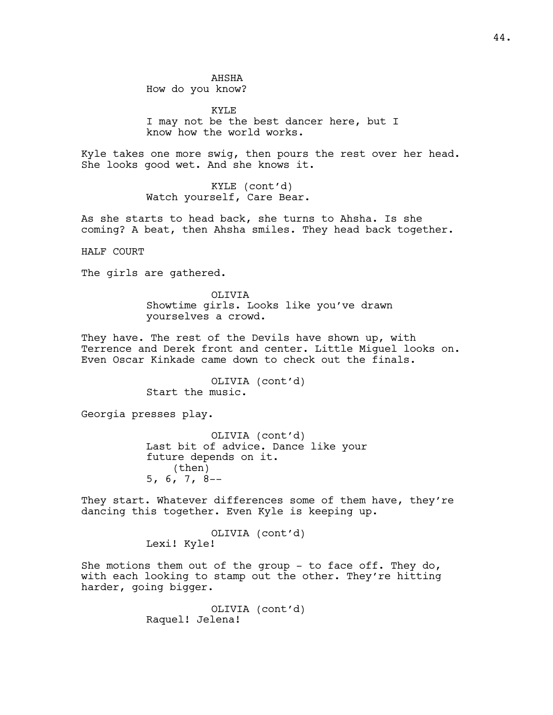AHSHA How do you know?

KYLE I may not be the best dancer here, but I know how the world works.

Kyle takes one more swig, then pours the rest over her head. She looks good wet. And she knows it.

> KYLE (cont'd) Watch yourself, Care Bear.

As she starts to head back, she turns to Ahsha. Is she coming? A beat, then Ahsha smiles. They head back together.

HALF COURT

The girls are gathered.

OLIVIA Showtime girls. Looks like you've drawn yourselves a crowd.

They have. The rest of the Devils have shown up, with Terrence and Derek front and center. Little Miguel looks on. Even Oscar Kinkade came down to check out the finals.

> OLIVIA (cont'd) Start the music.

Georgia presses play.

OLIVIA (cont'd) Last bit of advice. Dance like your future depends on it. (then) 5, 6, 7, 8--

They start. Whatever differences some of them have, they're dancing this together. Even Kyle is keeping up.

> OLIVIA (cont'd) Lexi! Kyle!

She motions them out of the group - to face off. They do, with each looking to stamp out the other. They're hitting harder, going bigger.

> OLIVIA (cont'd) Raquel! Jelena!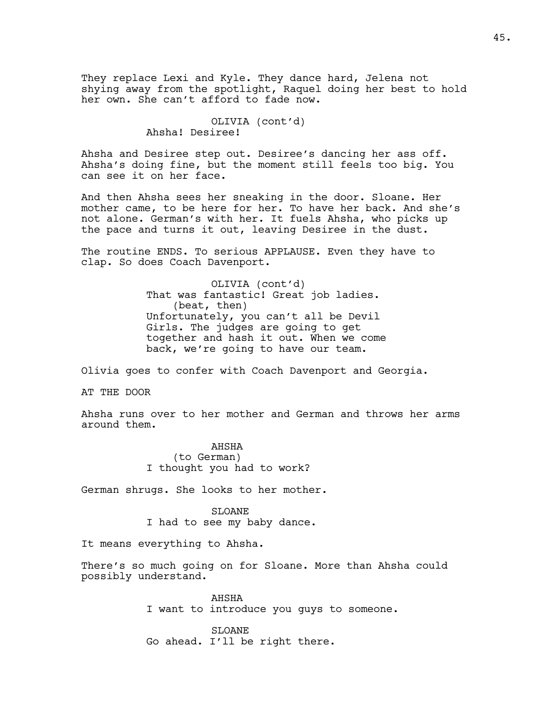They replace Lexi and Kyle. They dance hard, Jelena not shying away from the spotlight, Raquel doing her best to hold her own. She can't afford to fade now.

> OLIVIA (cont'd) Ahsha! Desiree!

Ahsha and Desiree step out. Desiree's dancing her ass off. Ahsha's doing fine, but the moment still feels too big. You can see it on her face.

And then Ahsha sees her sneaking in the door. Sloane. Her mother came, to be here for her. To have her back. And she's not alone. German's with her. It fuels Ahsha, who picks up the pace and turns it out, leaving Desiree in the dust.

The routine ENDS. To serious APPLAUSE. Even they have to clap. So does Coach Davenport.

> OLIVIA (cont'd) That was fantastic! Great job ladies. (beat, then) Unfortunately, you can't all be Devil Girls. The judges are going to get together and hash it out. When we come back, we're going to have our team.

Olivia goes to confer with Coach Davenport and Georgia.

AT THE DOOR

Ahsha runs over to her mother and German and throws her arms around them.

> AHSHA (to German) I thought you had to work?

German shrugs. She looks to her mother.

SLOANE I had to see my baby dance.

It means everything to Ahsha.

There's so much going on for Sloane. More than Ahsha could possibly understand.

> AHSHA I want to introduce you guys to someone.

SLOANE Go ahead. I'll be right there.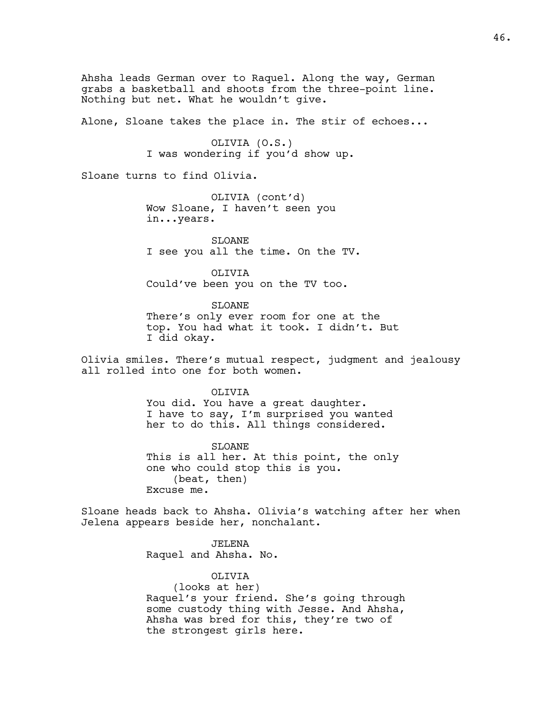Ahsha leads German over to Raquel. Along the way, German grabs a basketball and shoots from the three-point line. Nothing but net. What he wouldn't give.

Alone, Sloane takes the place in. The stir of echoes...

OLIVIA (O.S.) I was wondering if you'd show up.

Sloane turns to find Olivia.

OLIVIA (cont'd) Wow Sloane, I haven't seen you in...years.

SLOANE I see you all the time. On the TV.

OLIVIA Could've been you on the TV too.

**SLOANE** There's only ever room for one at the top. You had what it took. I didn't. But I did okay.

Olivia smiles. There's mutual respect, judgment and jealousy all rolled into one for both women.

OLIVIA

You did. You have a great daughter. I have to say, I'm surprised you wanted her to do this. All things considered.

SLOANE This is all her. At this point, the only one who could stop this is you. (beat, then) Excuse me.

Sloane heads back to Ahsha. Olivia's watching after her when Jelena appears beside her, nonchalant.

> JELENA Raquel and Ahsha. No.

> > OLIVIA

(looks at her) Raquel's your friend. She's going through some custody thing with Jesse. And Ahsha, Ahsha was bred for this, they're two of the strongest girls here.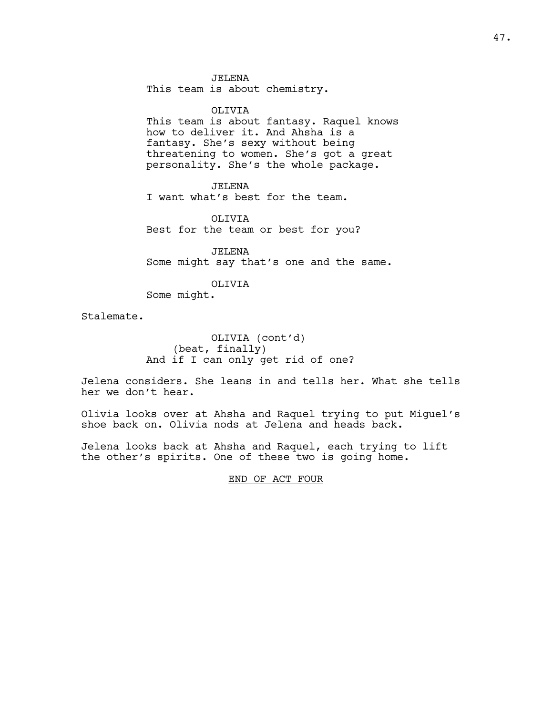JELENA

This team is about chemistry.

#### OLIVIA

This team is about fantasy. Raquel knows how to deliver it. And Ahsha is a fantasy. She's sexy without being threatening to women. She's got a great personality. She's the whole package.

JELENA

I want what's best for the team.

OLIVIA Best for the team or best for you?

JELENA Some might say that's one and the same.

OLIVIA

Some might.

Stalemate.

OLIVIA (cont'd) (beat, finally) And if I can only get rid of one?

Jelena considers. She leans in and tells her. What she tells her we don't hear.

Olivia looks over at Ahsha and Raquel trying to put Miguel's shoe back on. Olivia nods at Jelena and heads back.

Jelena looks back at Ahsha and Raquel, each trying to lift the other's spirits. One of these two is going home.

END OF ACT FOUR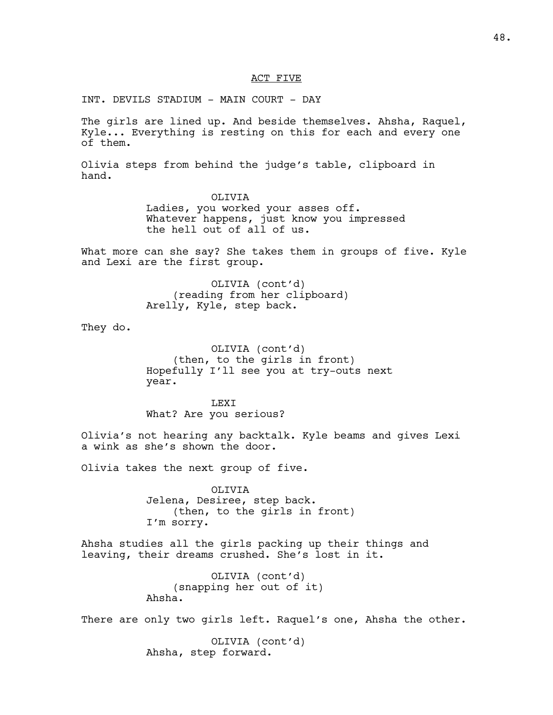#### ACT FIVE

INT. DEVILS STADIUM - MAIN COURT - DAY

The girls are lined up. And beside themselves. Ahsha, Raquel, Kyle... Everything is resting on this for each and every one of them.

Olivia steps from behind the judge's table, clipboard in hand.

> OLIVIA Ladies, you worked your asses off. Whatever happens, just know you impressed the hell out of all of us.

What more can she say? She takes them in groups of five. Kyle and Lexi are the first group.

> OLIVIA (cont'd) (reading from her clipboard) Arelly, Kyle, step back.

They do.

OLIVIA (cont'd) (then, to the girls in front) Hopefully I'll see you at try-outs next year.

LEXI What? Are you serious?

Olivia's not hearing any backtalk. Kyle beams and gives Lexi a wink as she's shown the door.

Olivia takes the next group of five.

OLIVIA Jelena, Desiree, step back. (then, to the girls in front) I'm sorry.

Ahsha studies all the girls packing up their things and leaving, their dreams crushed. She's lost in it.

```
OLIVIA (cont'd)
    (snapping her out of it)
Ahsha.
```
There are only two girls left. Raquel's one, Ahsha the other.

OLIVIA (cont'd) Ahsha, step forward.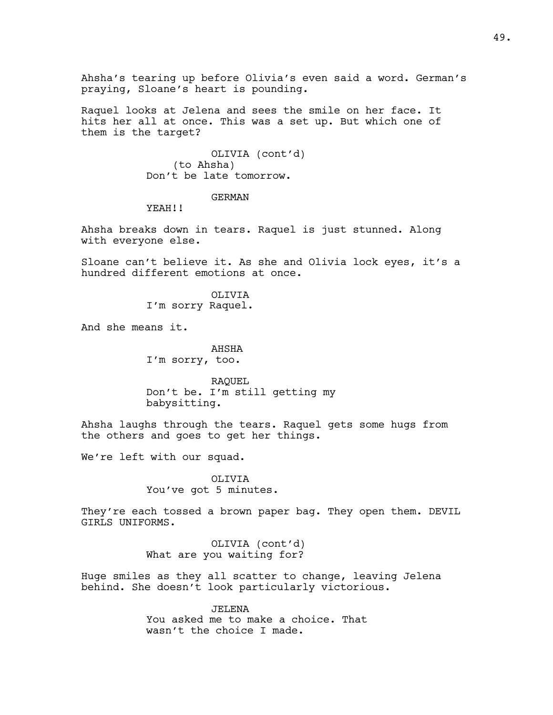Ahsha's tearing up before Olivia's even said a word. German's praying, Sloane's heart is pounding.

Raquel looks at Jelena and sees the smile on her face. It hits her all at once. This was a set up. But which one of them is the target?

> OLIVIA (cont'd) (to Ahsha) Don't be late tomorrow.

# GERMAN

YEAH!!

Ahsha breaks down in tears. Raquel is just stunned. Along with everyone else.

Sloane can't believe it. As she and Olivia lock eyes, it's a hundred different emotions at once.

> OLIVIA I'm sorry Raquel.

And she means it.

AHSHA I'm sorry, too.

RAQUEL Don't be. I'm still getting my babysitting.

Ahsha laughs through the tears. Raquel gets some hugs from the others and goes to get her things.

We're left with our squad.

OLTVTA You've got 5 minutes.

They're each tossed a brown paper bag. They open them. DEVIL GIRLS UNIFORMS.

> OLIVIA (cont'd) What are you waiting for?

Huge smiles as they all scatter to change, leaving Jelena behind. She doesn't look particularly victorious.

> JELENA You asked me to make a choice. That wasn't the choice I made.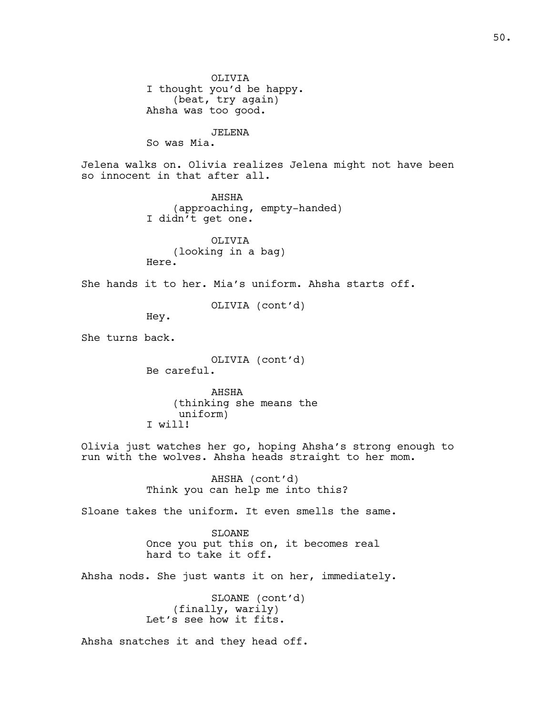OLIVIA I thought you'd be happy. (beat, try again) Ahsha was too good. JELENA So was Mia. Jelena walks on. Olivia realizes Jelena might not have been so innocent in that after all. AHSHA (approaching, empty-handed) I didn't get one. OLIVIA (looking in a bag) Here. She hands it to her. Mia's uniform. Ahsha starts off. OLIVIA (cont'd) Hey. She turns back. OLIVIA (cont'd) Be careful. AHSHA (thinking she means the uniform) I will! Olivia just watches her go, hoping Ahsha's strong enough to run with the wolves. Ahsha heads straight to her mom. AHSHA (cont'd) Think you can help me into this? Sloane takes the uniform. It even smells the same. SLOANE Once you put this on, it becomes real hard to take it off. Ahsha nods. She just wants it on her, immediately. SLOANE (cont'd) (finally, warily) Let's see how it fits. Ahsha snatches it and they head off.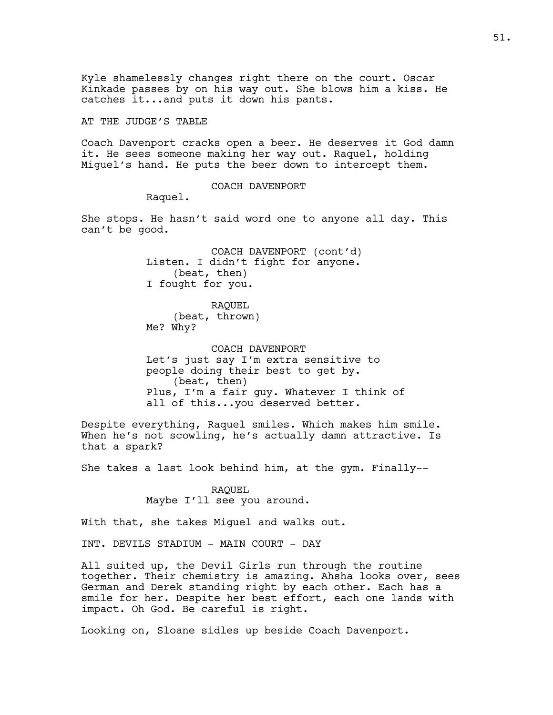Kyle shamelessly changes right there on the court. Oscar Kinkade passes by on his way out. She blows him a kiss. He catches it...and puts it down his pants.

AT THE JUDGE'S TABLE

Coach Davenport cracks open a beer. He deserves it God damn it. He sees someone making her way out. Raquel, holding Miguel's hand. He puts the beer down to intercept them.

#### COACH DAVENPORT

Raquel.

She stops. He hasn't said word one to anyone all day. This can't be good.

> COACH DAVENPORT (cont'd) Listen. I didn't fight for anyone. (beat, then) I fought for you.

RAQUEL (beat, thrown) Me? Why?

COACH DAVENPORT Let's just say I'm extra sensitive to people doing their best to get by. (beat, then) Plus, I'm a fair guy. Whatever I think of all of this...you deserved better.

Despite everything, Raquel smiles. Which makes him smile. When he's not scowling, he's actually damn attractive. Is that a spark?

She takes a last look behind him, at the gym. Finally--

RAQUEL Maybe I'll see you around.

With that, she takes Miguel and walks out.

INT. DEVILS STADIUM - MAIN COURT - DAY

All suited up, the Devil Girls run through the routine together. Their chemistry is amazing. Ahsha looks over, sees German and Derek standing right by each other. Each has a smile for her. Despite her best effort, each one lands with impact. Oh God. Be careful is right.

Looking on, Sloane sidles up beside Coach Davenport.